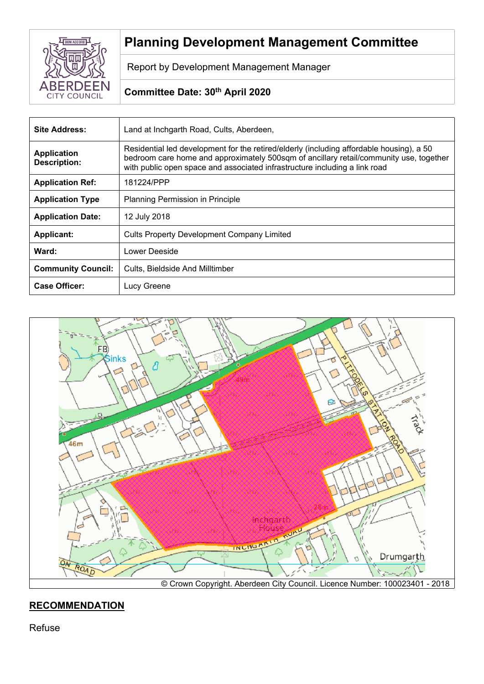

# **Planning Development Management Committee**

Report by Development Management Manager

# **Committee Date: 30th April 2020**

| Site Address:                             | Land at Inchgarth Road, Cults, Aberdeen,                                                                                                                                                                                                                         |
|-------------------------------------------|------------------------------------------------------------------------------------------------------------------------------------------------------------------------------------------------------------------------------------------------------------------|
| <b>Application</b><br><b>Description:</b> | Residential led development for the retired/elderly (including affordable housing), a 50<br>bedroom care home and approximately 500sqm of ancillary retail/community use, together<br>with public open space and associated infrastructure including a link road |
| <b>Application Ref:</b>                   | 181224/PPP                                                                                                                                                                                                                                                       |
| <b>Application Type</b>                   | <b>Planning Permission in Principle</b>                                                                                                                                                                                                                          |
| <b>Application Date:</b>                  | 12 July 2018                                                                                                                                                                                                                                                     |
| <b>Applicant:</b>                         | Cults Property Development Company Limited                                                                                                                                                                                                                       |
| Ward:                                     | Lower Deeside                                                                                                                                                                                                                                                    |
| <b>Community Council:</b>                 | Cults, Bieldside And Milltimber                                                                                                                                                                                                                                  |
| <b>Case Officer:</b>                      | Lucy Greene                                                                                                                                                                                                                                                      |



# **RECOMMENDATION**

Refuse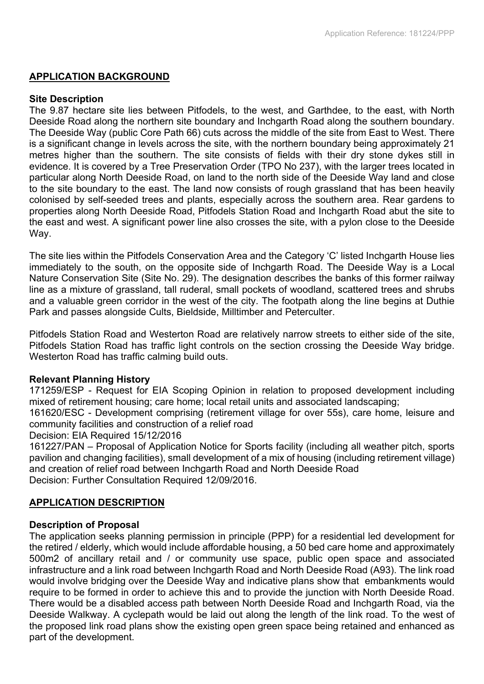### **APPLICATION BACKGROUND**

#### **Site Description**

The 9.87 hectare site lies between Pitfodels, to the west, and Garthdee, to the east, with North Deeside Road along the northern site boundary and Inchgarth Road along the southern boundary. The Deeside Way (public Core Path 66) cuts across the middle of the site from East to West. There is a significant change in levels across the site, with the northern boundary being approximately 21 metres higher than the southern. The site consists of fields with their dry stone dykes still in evidence. It is covered by a Tree Preservation Order (TPO No 237), with the larger trees located in particular along North Deeside Road, on land to the north side of the Deeside Way land and close to the site boundary to the east. The land now consists of rough grassland that has been heavily colonised by self-seeded trees and plants, especially across the southern area. Rear gardens to properties along North Deeside Road, Pitfodels Station Road and Inchgarth Road abut the site to the east and west. A significant power line also crosses the site, with a pylon close to the Deeside Way.

The site lies within the Pitfodels Conservation Area and the Category 'C' listed Inchgarth House lies immediately to the south, on the opposite side of Inchgarth Road. The Deeside Way is a Local Nature Conservation Site (Site No. 29). The designation describes the banks of this former railway line as a mixture of grassland, tall ruderal, small pockets of woodland, scattered trees and shrubs and a valuable green corridor in the west of the city. The footpath along the line begins at Duthie Park and passes alongside Cults, Bieldside, Milltimber and Peterculter.

Pitfodels Station Road and Westerton Road are relatively narrow streets to either side of the site, Pitfodels Station Road has traffic light controls on the section crossing the Deeside Way bridge. Westerton Road has traffic calming build outs.

### **Relevant Planning History**

171259/ESP - Request for EIA Scoping Opinion in relation to proposed development including mixed of retirement housing; care home; local retail units and associated landscaping;

161620/ESC - Development comprising (retirement village for over 55s), care home, leisure and community facilities and construction of a relief road

#### Decision: EIA Required 15/12/2016

161227/PAN – Proposal of Application Notice for Sports facility (including all weather pitch, sports pavilion and changing facilities), small development of a mix of housing (including retirement village) and creation of relief road between Inchgarth Road and North Deeside Road Decision: Further Consultation Required 12/09/2016.

### **APPLICATION DESCRIPTION**

### **Description of Proposal**

The application seeks planning permission in principle (PPP) for a residential led development for the retired / elderly, which would include affordable housing, a 50 bed care home and approximately 500m2 of ancillary retail and / or community use space, public open space and associated infrastructure and a link road between Inchgarth Road and North Deeside Road (A93). The link road would involve bridging over the Deeside Way and indicative plans show that embankments would require to be formed in order to achieve this and to provide the junction with North Deeside Road. There would be a disabled access path between North Deeside Road and Inchgarth Road, via the Deeside Walkway. A cyclepath would be laid out along the length of the link road. To the west of the proposed link road plans show the existing open green space being retained and enhanced as part of the development.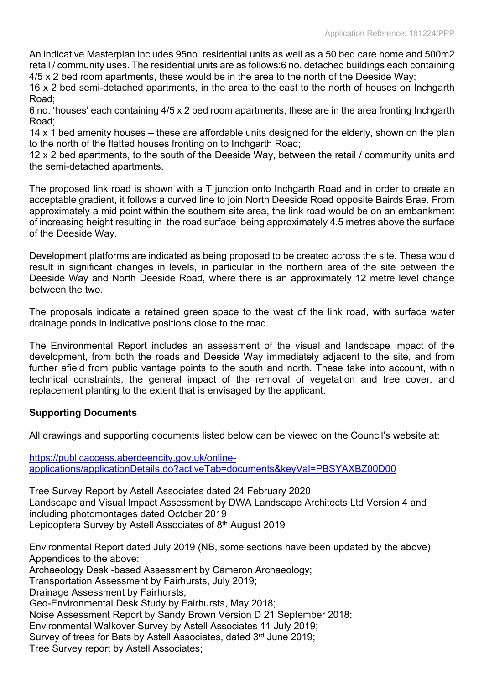An indicative Masterplan includes 95no. residential units as well as a 50 bed care home and 500m2 retail / community uses. The residential units are as follows:6 no. detached buildings each containing 4/5 x 2 bed room apartments, these would be in the area to the north of the Deeside Way;

16 x 2 bed semi-detached apartments, in the area to the east to the north of houses on Inchgarth Road;

6 no. 'houses' each containing 4/5 x 2 bed room apartments, these are in the area fronting Inchgarth Road;

14 x 1 bed amenity houses – these are affordable units designed for the elderly, shown on the plan to the north of the flatted houses fronting on to Inchgarth Road;

12 x 2 bed apartments, to the south of the Deeside Way, between the retail / community units and the semi-detached apartments.

The proposed link road is shown with a T junction onto Inchgarth Road and in order to create an acceptable gradient, it follows a curved line to join North Deeside Road opposite Bairds Brae. From approximately a mid point within the southern site area, the link road would be on an embankment of increasing height resulting in the road surface being approximately 4.5 metres above the surface of the Deeside Way.

Development platforms are indicated as being proposed to be created across the site. These would result in significant changes in levels, in particular in the northern area of the site between the Deeside Way and North Deeside Road, where there is an approximately 12 metre level change between the two.

The proposals indicate a retained green space to the west of the link road, with surface water drainage ponds in indicative positions close to the road.

The Environmental Report includes an assessment of the visual and landscape impact of the development, from both the roads and Deeside Way immediately adjacent to the site, and from further afield from public vantage points to the south and north. These take into account, within technical constraints, the general impact of the removal of vegetation and tree cover, and replacement planting to the extent that is envisaged by the applicant.

### **Supporting Documents**

All drawings and supporting documents listed below can be viewed on the Council's website at:

[https://publicaccess.aberdeencity.gov.uk/online](https://publicaccess.aberdeencity.gov.uk/online-applications/applicationDetails.do?activeTab=documents&keyVal=PBSYAXBZ00D00)[applications/applicationDetails.do?activeTab=documents&keyVal=PBSYAXBZ00D00](https://publicaccess.aberdeencity.gov.uk/online-applications/applicationDetails.do?activeTab=documents&keyVal=PBSYAXBZ00D00)

Tree Survey Report by Astell Associates dated 24 February 2020 Landscape and Visual Impact Assessment by DWA Landscape Architects Ltd Version 4 and including photomontages dated October 2019 Lepidoptera Survey by Astell Associates of 8<sup>th</sup> August 2019

Environmental Report dated July 2019 (NB, some sections have been updated by the above) Appendices to the above: Archaeology Desk -based Assessment by Cameron Archaeology;

Transportation Assessment by Fairhursts, July 2019;

Drainage Assessment by Fairhursts;

Geo-Environmental Desk Study by Fairhursts, May 2018;

Noise Assessment Report by Sandy Brown Version D 21 September 2018;

Environmental Walkover Survey by Astell Associates 11 July 2019;

Survey of trees for Bats by Astell Associates, dated 3rd June 2019;

Tree Survey report by Astell Associates;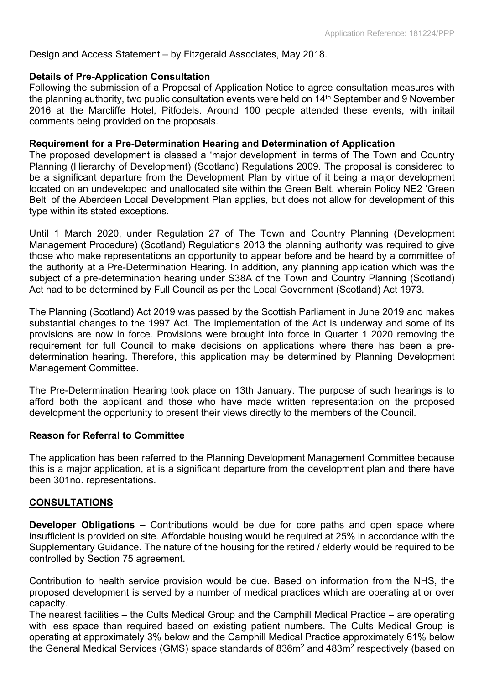### Design and Access Statement – by Fitzgerald Associates, May 2018.

#### **Details of Pre-Application Consultation**

Following the submission of a Proposal of Application Notice to agree consultation measures with the planning authority, two public consultation events were held on 14th September and 9 November 2016 at the Marcliffe Hotel, Pitfodels. Around 100 people attended these events, with initail comments being provided on the proposals.

#### **Requirement for a Pre-Determination Hearing and Determination of Application**

The proposed development is classed a 'major development' in terms of The Town and Country Planning (Hierarchy of Development) (Scotland) Regulations 2009. The proposal is considered to be a significant departure from the Development Plan by virtue of it being a major development located on an undeveloped and unallocated site within the Green Belt, wherein Policy NE2 'Green Belt' of the Aberdeen Local Development Plan applies, but does not allow for development of this type within its stated exceptions.

Until 1 March 2020, under Regulation 27 of The Town and Country Planning (Development Management Procedure) (Scotland) Regulations 2013 the planning authority was required to give those who make representations an opportunity to appear before and be heard by a committee of the authority at a Pre-Determination Hearing. In addition, any planning application which was the subject of a pre-determination hearing under S38A of the Town and Country Planning (Scotland) Act had to be determined by Full Council as per the Local Government (Scotland) Act 1973.

The Planning (Scotland) Act 2019 was passed by the Scottish Parliament in June 2019 and makes substantial changes to the 1997 Act. The implementation of the Act is underway and some of its provisions are now in force. Provisions were brought into force in Quarter 1 2020 removing the requirement for full Council to make decisions on applications where there has been a predetermination hearing. Therefore, this application may be determined by Planning Development Management Committee.

The Pre-Determination Hearing took place on 13th January. The purpose of such hearings is to afford both the applicant and those who have made written representation on the proposed development the opportunity to present their views directly to the members of the Council.

#### **Reason for Referral to Committee**

The application has been referred to the Planning Development Management Committee because this is a major application, at is a significant departure from the development plan and there have been 301no. representations.

#### **CONSULTATIONS**

**Developer Obligations –** Contributions would be due for core paths and open space where insufficient is provided on site. Affordable housing would be required at 25% in accordance with the Supplementary Guidance. The nature of the housing for the retired / elderly would be required to be controlled by Section 75 agreement.

Contribution to health service provision would be due. Based on information from the NHS, the proposed development is served by a number of medical practices which are operating at or over capacity.

The nearest facilities – the Cults Medical Group and the Camphill Medical Practice – are operating with less space than required based on existing patient numbers. The Cults Medical Group is operating at approximately 3% below and the Camphill Medical Practice approximately 61% below the General Medical Services (GMS) space standards of 836m<sup>2</sup> and 483m<sup>2</sup> respectively (based on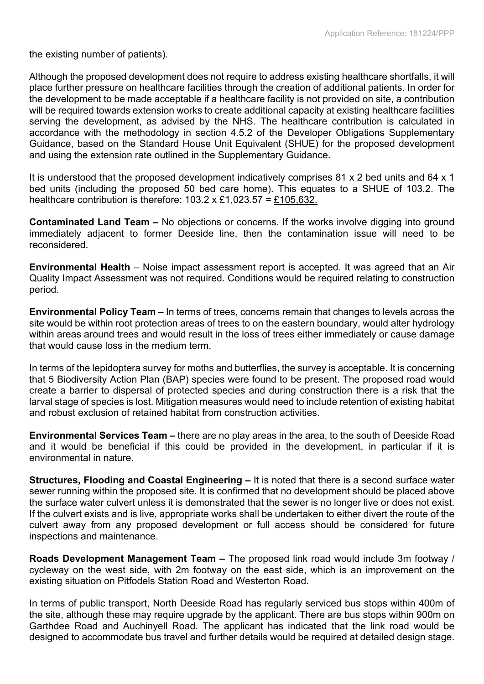the existing number of patients).

Although the proposed development does not require to address existing healthcare shortfalls, it will place further pressure on healthcare facilities through the creation of additional patients. In order for the development to be made acceptable if a healthcare facility is not provided on site, a contribution will be required towards extension works to create additional capacity at existing healthcare facilities serving the development, as advised by the NHS. The healthcare contribution is calculated in accordance with the methodology in section 4.5.2 of the Developer Obligations Supplementary Guidance, based on the Standard House Unit Equivalent (SHUE) for the proposed development and using the extension rate outlined in the Supplementary Guidance.

It is understood that the proposed development indicatively comprises 81 x 2 bed units and 64 x 1 bed units (including the proposed 50 bed care home). This equates to a SHUE of 103.2. The healthcare contribution is therefore:  $103.2 \times £1,023.57 = £105,632$ .

**Contaminated Land Team –** No objections or concerns. If the works involve digging into ground immediately adjacent to former Deeside line, then the contamination issue will need to be reconsidered.

**Environmental Health** – Noise impact assessment report is accepted. It was agreed that an Air Quality Impact Assessment was not required. Conditions would be required relating to construction period.

**Environmental Policy Team –** In terms of trees, concerns remain that changes to levels across the site would be within root protection areas of trees to on the eastern boundary, would alter hydrology within areas around trees and would result in the loss of trees either immediately or cause damage that would cause loss in the medium term.

In terms of the lepidoptera survey for moths and butterflies, the survey is acceptable. It is concerning that 5 Biodiversity Action Plan (BAP) species were found to be present. The proposed road would create a barrier to dispersal of protected species and during construction there is a risk that the larval stage of species is lost. Mitigation measures would need to include retention of existing habitat and robust exclusion of retained habitat from construction activities.

**Environmental Services Team –** there are no play areas in the area, to the south of Deeside Road and it would be beneficial if this could be provided in the development, in particular if it is environmental in nature.

**Structures, Flooding and Coastal Engineering –** It is noted that there is a second surface water sewer running within the proposed site. It is confirmed that no development should be placed above the surface water culvert unless it is demonstrated that the sewer is no longer live or does not exist. If the culvert exists and is live, appropriate works shall be undertaken to either divert the route of the culvert away from any proposed development or full access should be considered for future inspections and maintenance.

**Roads Development Management Team –** The proposed link road would include 3m footway / cycleway on the west side, with 2m footway on the east side, which is an improvement on the existing situation on Pitfodels Station Road and Westerton Road.

In terms of public transport, North Deeside Road has regularly serviced bus stops within 400m of the site, although these may require upgrade by the applicant. There are bus stops within 900m on Garthdee Road and Auchinyell Road. The applicant has indicated that the link road would be designed to accommodate bus travel and further details would be required at detailed design stage.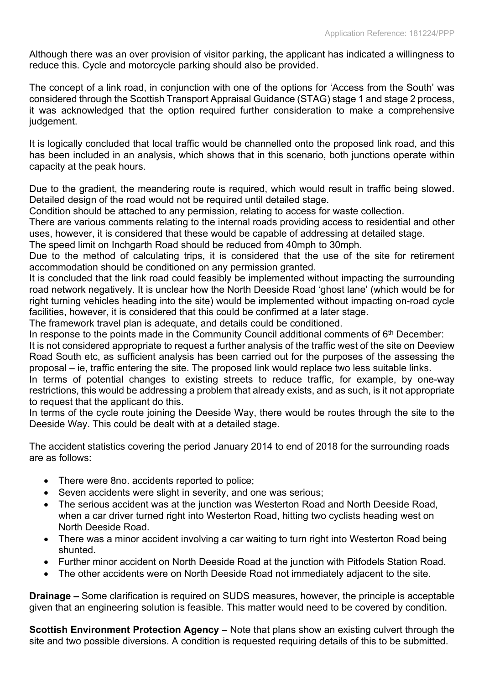Although there was an over provision of visitor parking, the applicant has indicated a willingness to reduce this. Cycle and motorcycle parking should also be provided.

The concept of a link road, in conjunction with one of the options for 'Access from the South' was considered through the Scottish Transport Appraisal Guidance (STAG) stage 1 and stage 2 process, it was acknowledged that the option required further consideration to make a comprehensive judgement.

It is logically concluded that local traffic would be channelled onto the proposed link road, and this has been included in an analysis, which shows that in this scenario, both junctions operate within capacity at the peak hours.

Due to the gradient, the meandering route is required, which would result in traffic being slowed. Detailed design of the road would not be required until detailed stage.

Condition should be attached to any permission, relating to access for waste collection.

There are various comments relating to the internal roads providing access to residential and other uses, however, it is considered that these would be capable of addressing at detailed stage.

The speed limit on Inchgarth Road should be reduced from 40mph to 30mph.

Due to the method of calculating trips, it is considered that the use of the site for retirement accommodation should be conditioned on any permission granted.

It is concluded that the link road could feasibly be implemented without impacting the surrounding road network negatively. It is unclear how the North Deeside Road 'ghost lane' (which would be for right turning vehicles heading into the site) would be implemented without impacting on-road cycle facilities, however, it is considered that this could be confirmed at a later stage.

The framework travel plan is adequate, and details could be conditioned.

In response to the points made in the Community Council additional comments of 6<sup>th</sup> December:

It is not considered appropriate to request a further analysis of the traffic west of the site on Deeview Road South etc, as sufficient analysis has been carried out for the purposes of the assessing the proposal – ie, traffic entering the site. The proposed link would replace two less suitable links.

In terms of potential changes to existing streets to reduce traffic, for example, by one-way restrictions, this would be addressing a problem that already exists, and as such, is it not appropriate to request that the applicant do this.

In terms of the cycle route joining the Deeside Way, there would be routes through the site to the Deeside Way. This could be dealt with at a detailed stage.

The accident statistics covering the period January 2014 to end of 2018 for the surrounding roads are as follows:

- There were 8no. accidents reported to police;
- Seven accidents were slight in severity, and one was serious;
- The serious accident was at the junction was Westerton Road and North Deeside Road, when a car driver turned right into Westerton Road, hitting two cyclists heading west on North Deeside Road.
- There was a minor accident involving a car waiting to turn right into Westerton Road being shunted.
- Further minor accident on North Deeside Road at the junction with Pitfodels Station Road.
- The other accidents were on North Deeside Road not immediately adjacent to the site.

**Drainage –** Some clarification is required on SUDS measures, however, the principle is acceptable given that an engineering solution is feasible. This matter would need to be covered by condition.

**Scottish Environment Protection Agency –** Note that plans show an existing culvert through the site and two possible diversions. A condition is requested requiring details of this to be submitted.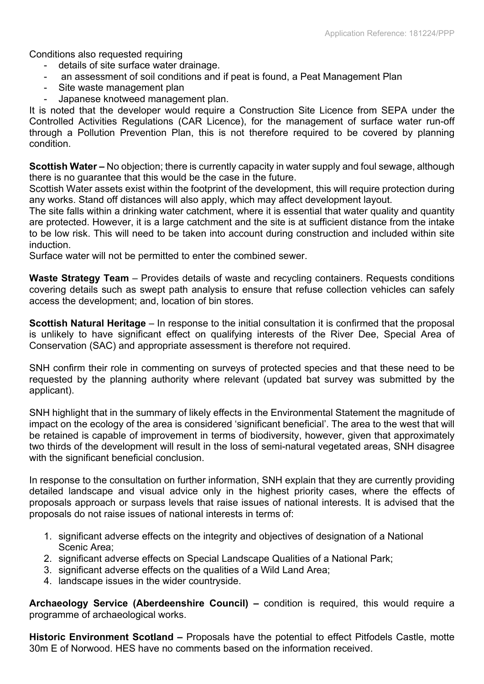Conditions also requested requiring

- details of site surface water drainage.
- an assessment of soil conditions and if peat is found, a Peat Management Plan
- Site waste management plan
- Japanese knotweed management plan.

It is noted that the developer would require a Construction Site Licence from SEPA under the Controlled Activities Regulations (CAR Licence), for the management of surface water run-off through a Pollution Prevention Plan, this is not therefore required to be covered by planning condition.

**Scottish Water –** No objection; there is currently capacity in water supply and foul sewage, although there is no guarantee that this would be the case in the future.

Scottish Water assets exist within the footprint of the development, this will require protection during any works. Stand off distances will also apply, which may affect development layout.

The site falls within a drinking water catchment, where it is essential that water quality and quantity are protected. However, it is a large catchment and the site is at sufficient distance from the intake to be low risk. This will need to be taken into account during construction and included within site induction.

Surface water will not be permitted to enter the combined sewer.

**Waste Strategy Team** – Provides details of waste and recycling containers. Requests conditions covering details such as swept path analysis to ensure that refuse collection vehicles can safely access the development; and, location of bin stores.

**Scottish Natural Heritage** – In response to the initial consultation it is confirmed that the proposal is unlikely to have significant effect on qualifying interests of the River Dee, Special Area of Conservation (SAC) and appropriate assessment is therefore not required.

SNH confirm their role in commenting on surveys of protected species and that these need to be requested by the planning authority where relevant (updated bat survey was submitted by the applicant).

SNH highlight that in the summary of likely effects in the Environmental Statement the magnitude of impact on the ecology of the area is considered 'significant beneficial'. The area to the west that will be retained is capable of improvement in terms of biodiversity, however, given that approximately two thirds of the development will result in the loss of semi-natural vegetated areas, SNH disagree with the significant beneficial conclusion.

In response to the consultation on further information, SNH explain that they are currently providing detailed landscape and visual advice only in the highest priority cases, where the effects of proposals approach or surpass levels that raise issues of national interests. It is advised that the proposals do not raise issues of national interests in terms of:

- 1. significant adverse effects on the integrity and objectives of designation of a National Scenic Area;
- 2. significant adverse effects on Special Landscape Qualities of a National Park;
- 3. significant adverse effects on the qualities of a Wild Land Area;
- 4. landscape issues in the wider countryside.

**Archaeology Service (Aberdeenshire Council) –** condition is required, this would require a programme of archaeological works.

**Historic Environment Scotland –** Proposals have the potential to effect Pitfodels Castle, motte 30m E of Norwood. HES have no comments based on the information received.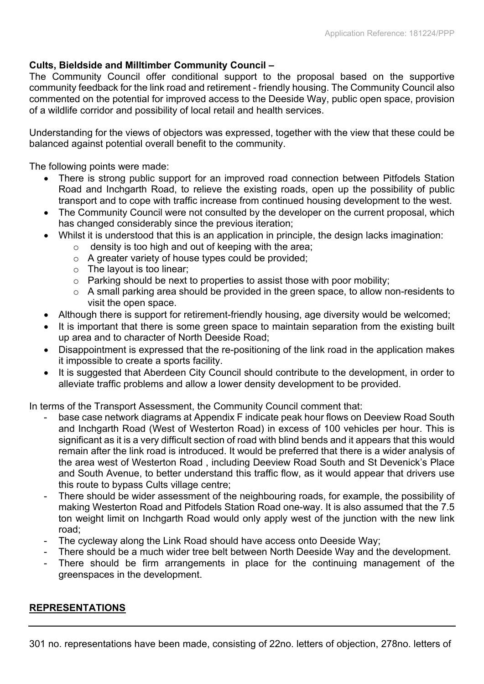### **Cults, Bieldside and Milltimber Community Council –**

The Community Council offer conditional support to the proposal based on the supportive community feedback for the link road and retirement - friendly housing. The Community Council also commented on the potential for improved access to the Deeside Way, public open space, provision of a wildlife corridor and possibility of local retail and health services.

Understanding for the views of objectors was expressed, together with the view that these could be balanced against potential overall benefit to the community.

The following points were made:

- There is strong public support for an improved road connection between Pitfodels Station Road and Inchgarth Road, to relieve the existing roads, open up the possibility of public transport and to cope with traffic increase from continued housing development to the west.
- The Community Council were not consulted by the developer on the current proposal, which has changed considerably since the previous iteration;
- Whilst it is understood that this is an application in principle, the design lacks imagination:
	- $\circ$  density is too high and out of keeping with the area;
	- o A greater variety of house types could be provided;
	- o The layout is too linear;
	- o Parking should be next to properties to assist those with poor mobility;
	- o A small parking area should be provided in the green space, to allow non-residents to visit the open space.
- Although there is support for retirement-friendly housing, age diversity would be welcomed;
- It is important that there is some green space to maintain separation from the existing built up area and to character of North Deeside Road;
- Disappointment is expressed that the re-positioning of the link road in the application makes it impossible to create a sports facility.
- It is suggested that Aberdeen City Council should contribute to the development, in order to alleviate traffic problems and allow a lower density development to be provided.

In terms of the Transport Assessment, the Community Council comment that:

- base case network diagrams at Appendix F indicate peak hour flows on Deeview Road South and Inchgarth Road (West of Westerton Road) in excess of 100 vehicles per hour. This is significant as it is a very difficult section of road with blind bends and it appears that this would remain after the link road is introduced. It would be preferred that there is a wider analysis of the area west of Westerton Road , including Deeview Road South and St Devenick's Place and South Avenue, to better understand this traffic flow, as it would appear that drivers use this route to bypass Cults village centre;
- There should be wider assessment of the neighbouring roads, for example, the possibility of making Westerton Road and Pitfodels Station Road one-way. It is also assumed that the 7.5 ton weight limit on Inchgarth Road would only apply west of the junction with the new link road;
- The cycleway along the Link Road should have access onto Deeside Way;
- There should be a much wider tree belt between North Deeside Way and the development.
- There should be firm arrangements in place for the continuing management of the greenspaces in the development.

### **REPRESENTATIONS**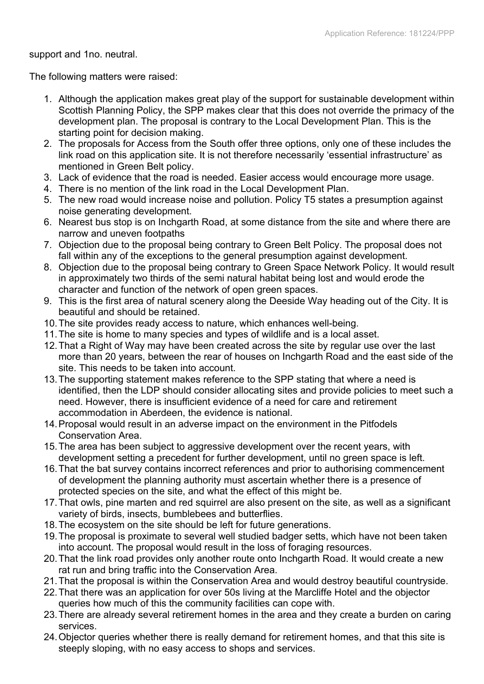support and 1no. neutral.

The following matters were raised:

- 1. Although the application makes great play of the support for sustainable development within Scottish Planning Policy, the SPP makes clear that this does not override the primacy of the development plan. The proposal is contrary to the Local Development Plan. This is the starting point for decision making.
- 2. The proposals for Access from the South offer three options, only one of these includes the link road on this application site. It is not therefore necessarily 'essential infrastructure' as mentioned in Green Belt policy.
- 3. Lack of evidence that the road is needed. Easier access would encourage more usage.
- 4. There is no mention of the link road in the Local Development Plan.
- 5. The new road would increase noise and pollution. Policy T5 states a presumption against noise generating development.
- 6. Nearest bus stop is on Inchgarth Road, at some distance from the site and where there are narrow and uneven footpaths
- 7. Objection due to the proposal being contrary to Green Belt Policy. The proposal does not fall within any of the exceptions to the general presumption against development.
- 8. Objection due to the proposal being contrary to Green Space Network Policy. It would result in approximately two thirds of the semi natural habitat being lost and would erode the character and function of the network of open green spaces.
- 9. This is the first area of natural scenery along the Deeside Way heading out of the City. It is beautiful and should be retained.
- 10.The site provides ready access to nature, which enhances well-being.
- 11.The site is home to many species and types of wildlife and is a local asset.
- 12.That a Right of Way may have been created across the site by regular use over the last more than 20 years, between the rear of houses on Inchgarth Road and the east side of the site. This needs to be taken into account.
- 13.The supporting statement makes reference to the SPP stating that where a need is identified, then the LDP should consider allocating sites and provide policies to meet such a need. However, there is insufficient evidence of a need for care and retirement accommodation in Aberdeen, the evidence is national.
- 14.Proposal would result in an adverse impact on the environment in the Pitfodels Conservation Area.
- 15.The area has been subject to aggressive development over the recent years, with development setting a precedent for further development, until no green space is left.
- 16.That the bat survey contains incorrect references and prior to authorising commencement of development the planning authority must ascertain whether there is a presence of protected species on the site, and what the effect of this might be.
- 17.That owls, pine marten and red squirrel are also present on the site, as well as a significant variety of birds, insects, bumblebees and butterflies.
- 18.The ecosystem on the site should be left for future generations.
- 19.The proposal is proximate to several well studied badger setts, which have not been taken into account. The proposal would result in the loss of foraging resources.
- 20.That the link road provides only another route onto Inchgarth Road. It would create a new rat run and bring traffic into the Conservation Area.
- 21.That the proposal is within the Conservation Area and would destroy beautiful countryside.
- 22.That there was an application for over 50s living at the Marcliffe Hotel and the objector queries how much of this the community facilities can cope with.
- 23.There are already several retirement homes in the area and they create a burden on caring services.
- 24.Objector queries whether there is really demand for retirement homes, and that this site is steeply sloping, with no easy access to shops and services.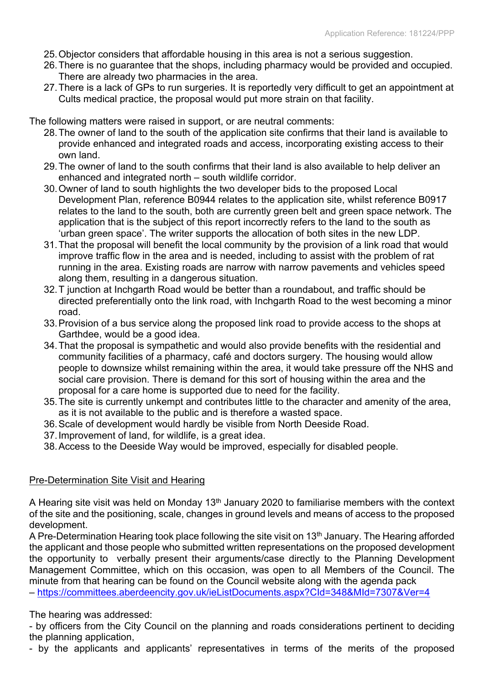- 25.Objector considers that affordable housing in this area is not a serious suggestion.
- 26.There is no guarantee that the shops, including pharmacy would be provided and occupied. There are already two pharmacies in the area.
- 27.There is a lack of GPs to run surgeries. It is reportedly very difficult to get an appointment at Cults medical practice, the proposal would put more strain on that facility.

The following matters were raised in support, or are neutral comments:

- 28.The owner of land to the south of the application site confirms that their land is available to provide enhanced and integrated roads and access, incorporating existing access to their own land.
- 29.The owner of land to the south confirms that their land is also available to help deliver an enhanced and integrated north – south wildlife corridor.
- 30.Owner of land to south highlights the two developer bids to the proposed Local Development Plan, reference B0944 relates to the application site, whilst reference B0917 relates to the land to the south, both are currently green belt and green space network. The application that is the subject of this report incorrectly refers to the land to the south as 'urban green space'. The writer supports the allocation of both sites in the new LDP.
- 31.That the proposal will benefit the local community by the provision of a link road that would improve traffic flow in the area and is needed, including to assist with the problem of rat running in the area. Existing roads are narrow with narrow pavements and vehicles speed along them, resulting in a dangerous situation.
- 32.T junction at Inchgarth Road would be better than a roundabout, and traffic should be directed preferentially onto the link road, with Inchgarth Road to the west becoming a minor road.
- 33.Provision of a bus service along the proposed link road to provide access to the shops at Garthdee, would be a good idea.
- 34.That the proposal is sympathetic and would also provide benefits with the residential and community facilities of a pharmacy, café and doctors surgery. The housing would allow people to downsize whilst remaining within the area, it would take pressure off the NHS and social care provision. There is demand for this sort of housing within the area and the proposal for a care home is supported due to need for the facility.
- 35.The site is currently unkempt and contributes little to the character and amenity of the area, as it is not available to the public and is therefore a wasted space.
- 36.Scale of development would hardly be visible from North Deeside Road.
- 37.Improvement of land, for wildlife, is a great idea.
- 38.Access to the Deeside Way would be improved, especially for disabled people.

#### Pre-Determination Site Visit and Hearing

A Hearing site visit was held on Monday 13<sup>th</sup> January 2020 to familiarise members with the context of the site and the positioning, scale, changes in ground levels and means of access to the proposed development.

A Pre-Determination Hearing took place following the site visit on 13<sup>th</sup> January. The Hearing afforded the applicant and those people who submitted written representations on the proposed development the opportunity to verbally present their arguments/case directly to the Planning Development Management Committee, which on this occasion, was open to all Members of the Council. The minute from that hearing can be found on the Council website along with the agenda pack

– <https://committees.aberdeencity.gov.uk/ieListDocuments.aspx?CId=348&MId=7307&Ver=4>

The hearing was addressed:

- by officers from the City Council on the planning and roads considerations pertinent to deciding the planning application,

- by the applicants and applicants' representatives in terms of the merits of the proposed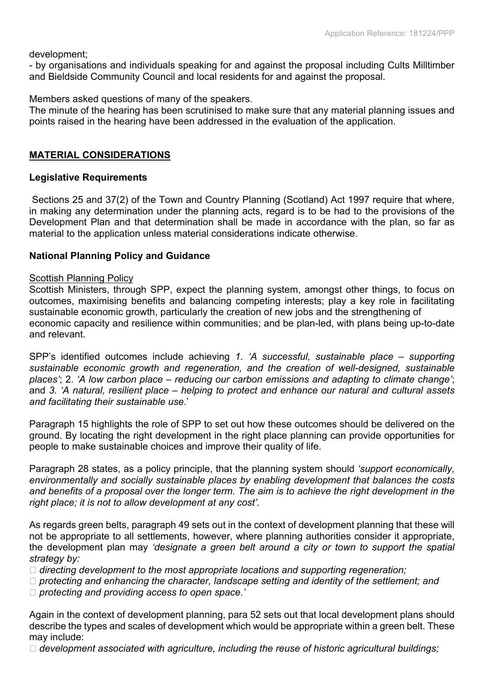development;

- by organisations and individuals speaking for and against the proposal including Cults Milltimber and Bieldside Community Council and local residents for and against the proposal.

Members asked questions of many of the speakers.

The minute of the hearing has been scrutinised to make sure that any material planning issues and points raised in the hearing have been addressed in the evaluation of the application.

### **MATERIAL CONSIDERATIONS**

#### **Legislative Requirements**

Sections 25 and 37(2) of the Town and Country Planning (Scotland) Act 1997 require that where, in making any determination under the planning acts, regard is to be had to the provisions of the Development Plan and that determination shall be made in accordance with the plan, so far as material to the application unless material considerations indicate otherwise.

### **National Planning Policy and Guidance**

#### **Scottish Planning Policy**

Scottish Ministers, through SPP, expect the planning system, amongst other things, to focus on outcomes, maximising benefits and balancing competing interests; play a key role in facilitating sustainable economic growth, particularly the creation of new jobs and the strengthening of economic capacity and resilience within communities; and be plan-led, with plans being up-to-date and relevant.

SPP's identified outcomes include achieving *1. 'A successful, sustainable place – supporting sustainable economic growth and regeneration, and the creation of well-designed, sustainable places'*; 2. *'A low carbon place – reducing our carbon emissions and adapting to climate change'*; and *3. 'A natural, resilient place – helping to protect and enhance our natural and cultural assets and facilitating their sustainable use*.'

Paragraph 15 highlights the role of SPP to set out how these outcomes should be delivered on the ground. By locating the right development in the right place planning can provide opportunities for people to make sustainable choices and improve their quality of life.

Paragraph 28 states, as a policy principle, that the planning system should *'support economically, environmentally and socially sustainable places by enabling development that balances the costs* and benefits of a proposal over the longer term. The aim is to achieve the right development in the *right place; it is not to allow development at any cost'.*

As regards green belts, paragraph 49 sets out in the context of development planning that these will not be appropriate to all settlements, however, where planning authorities consider it appropriate, the development plan may *'designate a green belt around a city or town to support the spatial strategy by:*

*directing development to the most appropriate locations and supporting regeneration;*

*protecting and enhancing the character, landscape setting and identity of the settlement; and*

*protecting and providing access to open space.'*

Again in the context of development planning, para 52 sets out that local development plans should describe the types and scales of development which would be appropriate within a green belt. These may include:

*development associated with agriculture, including the reuse of historic agricultural buildings;*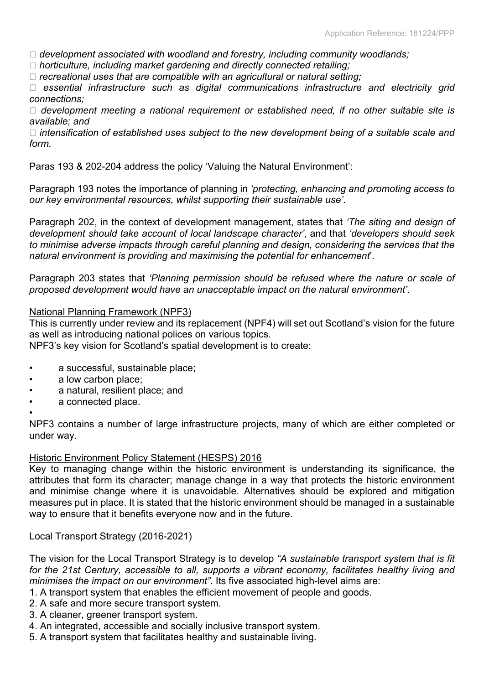*development associated with woodland and forestry, including community woodlands;*

*horticulture, including market gardening and directly connected retailing;*

*recreational uses that are compatible with an agricultural or natural setting;*

 *essential infrastructure such as digital communications infrastructure and electricity grid connections;*

 *development meeting a national requirement or established need, if no other suitable site is available; and*

 *intensification of established uses subject to the new development being of a suitable scale and form.*

Paras 193 & 202-204 address the policy 'Valuing the Natural Environment':

Paragraph 193 notes the importance of planning in *'protecting, enhancing and promoting access to our key environmental resources, whilst supporting their sustainable use'*.

Paragraph 202, in the context of development management, states that *'The siting and design of development should take account of local landscape character'*, and that *'developers should seek to minimise adverse impacts through careful planning and design, considering the services that the natural environment is providing and maximising the potential for enhancement*'.

Paragraph 203 states that *'Planning permission should be refused where the nature or scale of proposed development would have an unacceptable impact on the natural environment'*.

#### National Planning Framework (NPF3)

This is currently under review and its replacement (NPF4) will set out Scotland's vision for the future as well as introducing national polices on various topics.

NPF3's key vision for Scotland's spatial development is to create:

- a successful, sustainable place;
- a low carbon place;
- a natural, resilient place; and
- a connected place.

•

NPF3 contains a number of large infrastructure projects, many of which are either completed or under way.

#### Historic Environment Policy Statement (HESPS) 2016

Key to managing change within the historic environment is understanding its significance, the attributes that form its character; manage change in a way that protects the historic environment and minimise change where it is unavoidable. Alternatives should be explored and mitigation measures put in place. It is stated that the historic environment should be managed in a sustainable way to ensure that it benefits everyone now and in the future.

### Local Transport Strategy (2016-2021)

The vision for the Local Transport Strategy is to develop *"A sustainable transport system that is fit for the 21st Century, accessible to all, supports a vibrant economy, facilitates healthy living and minimises the impact on our environment"*. Its five associated high-level aims are:

- 1. A transport system that enables the efficient movement of people and goods.
- 2. A safe and more secure transport system.
- 3. A cleaner, greener transport system.
- 4. An integrated, accessible and socially inclusive transport system.
- 5. A transport system that facilitates healthy and sustainable living.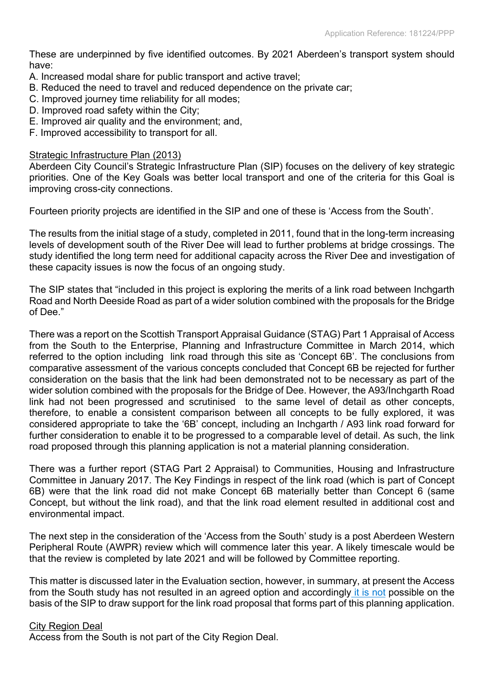These are underpinned by five identified outcomes. By 2021 Aberdeen's transport system should have:

- A. Increased modal share for public transport and active travel;
- B. Reduced the need to travel and reduced dependence on the private car;
- C. Improved journey time reliability for all modes;
- D. Improved road safety within the City;
- E. Improved air quality and the environment; and,
- F. Improved accessibility to transport for all.

### Strategic Infrastructure Plan (2013)

Aberdeen City Council's Strategic Infrastructure Plan (SIP) focuses on the delivery of key strategic priorities. One of the Key Goals was better local transport and one of the criteria for this Goal is improving cross-city connections.

Fourteen priority projects are identified in the SIP and one of these is 'Access from the South'.

The results from the initial stage of a study, completed in 2011, found that in the long-term increasing levels of development south of the River Dee will lead to further problems at bridge crossings. The study identified the long term need for additional capacity across the River Dee and investigation of these capacity issues is now the focus of an ongoing study.

The SIP states that "included in this project is exploring the merits of a link road between Inchgarth Road and North Deeside Road as part of a wider solution combined with the proposals for the Bridge of Dee."

There was a report on the Scottish Transport Appraisal Guidance (STAG) Part 1 Appraisal of Access from the South to the Enterprise, Planning and Infrastructure Committee in March 2014, which referred to the option including link road through this site as 'Concept 6B'. The conclusions from comparative assessment of the various concepts concluded that Concept 6B be rejected for further consideration on the basis that the link had been demonstrated not to be necessary as part of the wider solution combined with the proposals for the Bridge of Dee. However, the A93/Inchgarth Road link had not been progressed and scrutinised to the same level of detail as other concepts, therefore, to enable a consistent comparison between all concepts to be fully explored, it was considered appropriate to take the '6B' concept, including an Inchgarth / A93 link road forward for further consideration to enable it to be progressed to a comparable level of detail. As such, the link road proposed through this planning application is not a material planning consideration.

There was a further report (STAG Part 2 Appraisal) to Communities, Housing and Infrastructure Committee in January 2017. The Key Findings in respect of the link road (which is part of Concept 6B) were that the link road did not make Concept 6B materially better than Concept 6 (same Concept, but without the link road), and that the link road element resulted in additional cost and environmental impact.

The next step in the consideration of the 'Access from the South' study is a post Aberdeen Western Peripheral Route (AWPR) review which will commence later this year. A likely timescale would be that the review is completed by late 2021 and will be followed by Committee reporting.

This matter is discussed later in the Evaluation section, however, in summary, at present the Access from the South study has not resulted in an agreed option and accordingly it is not possible on the basis of the SIP to draw support for the link road proposal that forms part of this planning application.

### City Region Deal

Access from the South is not part of the City Region Deal.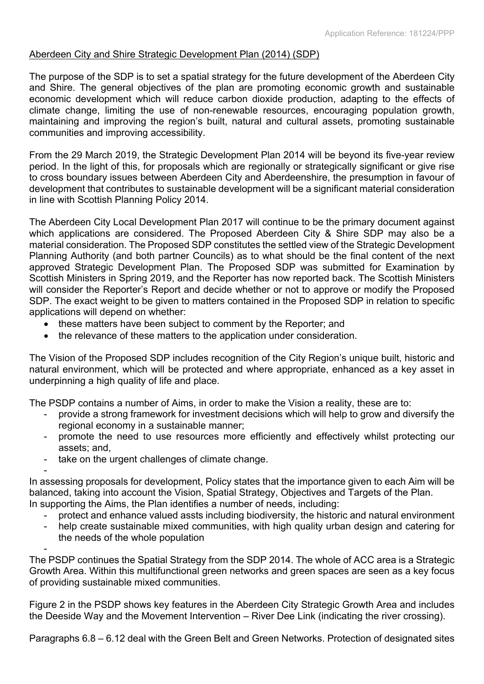### Aberdeen City and Shire Strategic Development Plan (2014) (SDP)

The purpose of the SDP is to set a spatial strategy for the future development of the Aberdeen City and Shire. The general objectives of the plan are promoting economic growth and sustainable economic development which will reduce carbon dioxide production, adapting to the effects of climate change, limiting the use of non-renewable resources, encouraging population growth, maintaining and improving the region's built, natural and cultural assets, promoting sustainable communities and improving accessibility.

From the 29 March 2019, the Strategic Development Plan 2014 will be beyond its five-year review period. In the light of this, for proposals which are regionally or strategically significant or give rise to cross boundary issues between Aberdeen City and Aberdeenshire, the presumption in favour of development that contributes to sustainable development will be a significant material consideration in line with Scottish Planning Policy 2014.

The Aberdeen City Local Development Plan 2017 will continue to be the primary document against which applications are considered. The Proposed Aberdeen City & Shire SDP may also be a material consideration. The Proposed SDP constitutes the settled view of the Strategic Development Planning Authority (and both partner Councils) as to what should be the final content of the next approved Strategic Development Plan. The Proposed SDP was submitted for Examination by Scottish Ministers in Spring 2019, and the Reporter has now reported back. The Scottish Ministers will consider the Reporter's Report and decide whether or not to approve or modify the Proposed SDP. The exact weight to be given to matters contained in the Proposed SDP in relation to specific applications will depend on whether:

- these matters have been subject to comment by the Reporter; and
- the relevance of these matters to the application under consideration.

The Vision of the Proposed SDP includes recognition of the City Region's unique built, historic and natural environment, which will be protected and where appropriate, enhanced as a key asset in underpinning a high quality of life and place.

The PSDP contains a number of Aims, in order to make the Vision a reality, these are to:

- provide a strong framework for investment decisions which will help to grow and diversify the regional economy in a sustainable manner;
- promote the need to use resources more efficiently and effectively whilst protecting our assets; and,
- take on the urgent challenges of climate change.

- In assessing proposals for development, Policy states that the importance given to each Aim will be balanced, taking into account the Vision, Spatial Strategy, Objectives and Targets of the Plan. In supporting the Aims, the Plan identifies a number of needs, including:

- - protect and enhance valued assts including biodiversity, the historic and natural environment
	- help create sustainable mixed communities, with high quality urban design and catering for the needs of the whole population

- The PSDP continues the Spatial Strategy from the SDP 2014. The whole of ACC area is a Strategic Growth Area. Within this multifunctional green networks and green spaces are seen as a key focus of providing sustainable mixed communities.

Figure 2 in the PSDP shows key features in the Aberdeen City Strategic Growth Area and includes the Deeside Way and the Movement Intervention – River Dee Link (indicating the river crossing).

Paragraphs 6.8 – 6.12 deal with the Green Belt and Green Networks. Protection of designated sites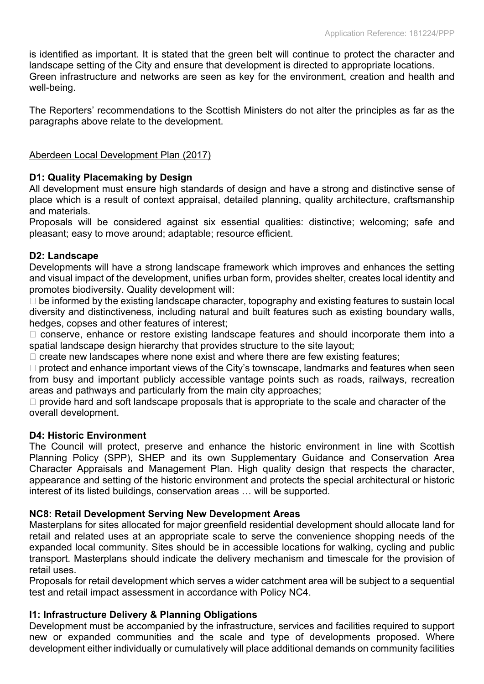is identified as important. It is stated that the green belt will continue to protect the character and landscape setting of the City and ensure that development is directed to appropriate locations. Green infrastructure and networks are seen as key for the environment, creation and health and well-being.

The Reporters' recommendations to the Scottish Ministers do not alter the principles as far as the paragraphs above relate to the development.

### Aberdeen Local Development Plan (2017)

### **D1: Quality Placemaking by Design**

All development must ensure high standards of design and have a strong and distinctive sense of place which is a result of context appraisal, detailed planning, quality architecture, craftsmanship and materials.

Proposals will be considered against six essential qualities: distinctive; welcoming; safe and pleasant; easy to move around; adaptable; resource efficient.

### **D2: Landscape**

Developments will have a strong landscape framework which improves and enhances the setting and visual impact of the development, unifies urban form, provides shelter, creates local identity and promotes biodiversity. Quality development will:

 $\Box$  be informed by the existing landscape character, topography and existing features to sustain local diversity and distinctiveness, including natural and built features such as existing boundary walls, hedges, copses and other features of interest;

 $\Box$  conserve, enhance or restore existing landscape features and should incorporate them into a spatial landscape design hierarchy that provides structure to the site layout;

 $\Box$  create new landscapes where none exist and where there are few existing features;

 $\Box$  protect and enhance important views of the City's townscape, landmarks and features when seen from busy and important publicly accessible vantage points such as roads, railways, recreation areas and pathways and particularly from the main city approaches;

 $\Box$  provide hard and soft landscape proposals that is appropriate to the scale and character of the overall development.

### **D4: Historic Environment**

The Council will protect, preserve and enhance the historic environment in line with Scottish Planning Policy (SPP), SHEP and its own Supplementary Guidance and Conservation Area Character Appraisals and Management Plan. High quality design that respects the character, appearance and setting of the historic environment and protects the special architectural or historic interest of its listed buildings, conservation areas … will be supported.

### **NC8: Retail Development Serving New Development Areas**

Masterplans for sites allocated for major greenfield residential development should allocate land for retail and related uses at an appropriate scale to serve the convenience shopping needs of the expanded local community. Sites should be in accessible locations for walking, cycling and public transport. Masterplans should indicate the delivery mechanism and timescale for the provision of retail uses.

Proposals for retail development which serves a wider catchment area will be subject to a sequential test and retail impact assessment in accordance with Policy NC4.

### **I1: Infrastructure Delivery & Planning Obligations**

Development must be accompanied by the infrastructure, services and facilities required to support new or expanded communities and the scale and type of developments proposed. Where development either individually or cumulatively will place additional demands on community facilities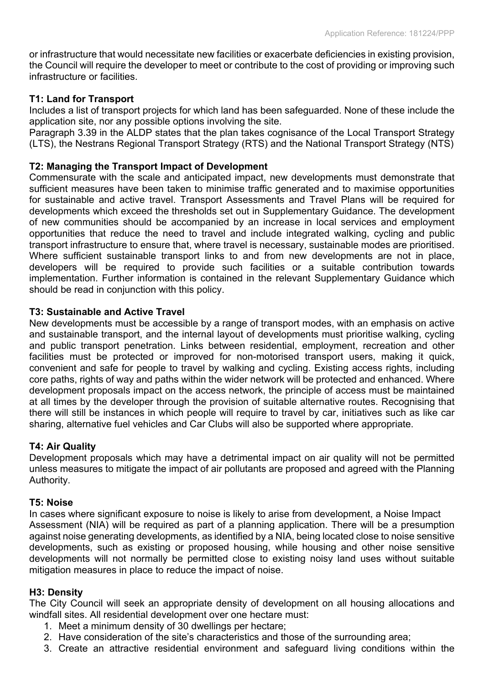or infrastructure that would necessitate new facilities or exacerbate deficiencies in existing provision, the Council will require the developer to meet or contribute to the cost of providing or improving such infrastructure or facilities.

### **T1: Land for Transport**

Includes a list of transport projects for which land has been safeguarded. None of these include the application site, nor any possible options involving the site.

Paragraph 3.39 in the ALDP states that the plan takes cognisance of the Local Transport Strategy (LTS), the Nestrans Regional Transport Strategy (RTS) and the National Transport Strategy (NTS)

### **T2: Managing the Transport Impact of Development**

Commensurate with the scale and anticipated impact, new developments must demonstrate that sufficient measures have been taken to minimise traffic generated and to maximise opportunities for sustainable and active travel. Transport Assessments and Travel Plans will be required for developments which exceed the thresholds set out in Supplementary Guidance. The development of new communities should be accompanied by an increase in local services and employment opportunities that reduce the need to travel and include integrated walking, cycling and public transport infrastructure to ensure that, where travel is necessary, sustainable modes are prioritised. Where sufficient sustainable transport links to and from new developments are not in place, developers will be required to provide such facilities or a suitable contribution towards implementation. Further information is contained in the relevant Supplementary Guidance which should be read in conjunction with this policy.

#### **T3: Sustainable and Active Travel**

New developments must be accessible by a range of transport modes, with an emphasis on active and sustainable transport, and the internal layout of developments must prioritise walking, cycling and public transport penetration. Links between residential, employment, recreation and other facilities must be protected or improved for non-motorised transport users, making it quick, convenient and safe for people to travel by walking and cycling. Existing access rights, including core paths, rights of way and paths within the wider network will be protected and enhanced. Where development proposals impact on the access network, the principle of access must be maintained at all times by the developer through the provision of suitable alternative routes. Recognising that there will still be instances in which people will require to travel by car, initiatives such as like car sharing, alternative fuel vehicles and Car Clubs will also be supported where appropriate.

### **T4: Air Quality**

Development proposals which may have a detrimental impact on air quality will not be permitted unless measures to mitigate the impact of air pollutants are proposed and agreed with the Planning Authority.

### **T5: Noise**

In cases where significant exposure to noise is likely to arise from development, a Noise Impact Assessment (NIA) will be required as part of a planning application. There will be a presumption against noise generating developments, as identified by a NIA, being located close to noise sensitive developments, such as existing or proposed housing, while housing and other noise sensitive developments will not normally be permitted close to existing noisy land uses without suitable mitigation measures in place to reduce the impact of noise.

### **H3: Density**

The City Council will seek an appropriate density of development on all housing allocations and windfall sites. All residential development over one hectare must:

- 1. Meet a minimum density of 30 dwellings per hectare;
- 2. Have consideration of the site's characteristics and those of the surrounding area;
- 3. Create an attractive residential environment and safeguard living conditions within the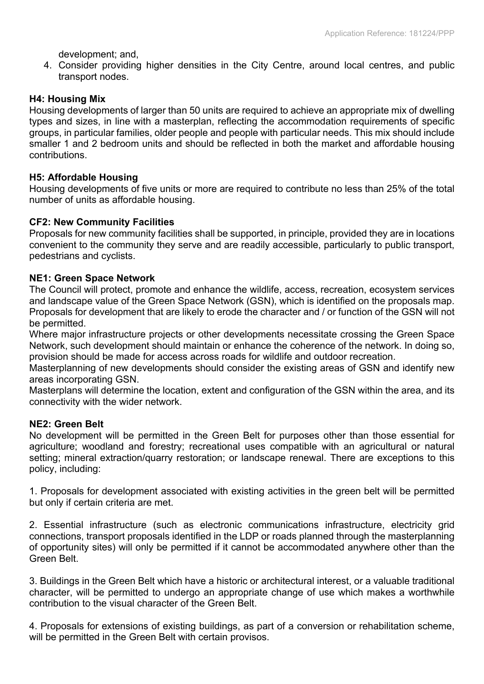development; and,

4. Consider providing higher densities in the City Centre, around local centres, and public transport nodes.

### **H4: Housing Mix**

Housing developments of larger than 50 units are required to achieve an appropriate mix of dwelling types and sizes, in line with a masterplan, reflecting the accommodation requirements of specific groups, in particular families, older people and people with particular needs. This mix should include smaller 1 and 2 bedroom units and should be reflected in both the market and affordable housing contributions.

### **H5: Affordable Housing**

Housing developments of five units or more are required to contribute no less than 25% of the total number of units as affordable housing.

### **CF2: New Community Facilities**

Proposals for new community facilities shall be supported, in principle, provided they are in locations convenient to the community they serve and are readily accessible, particularly to public transport, pedestrians and cyclists.

### **NE1: Green Space Network**

The Council will protect, promote and enhance the wildlife, access, recreation, ecosystem services and landscape value of the Green Space Network (GSN), which is identified on the proposals map. Proposals for development that are likely to erode the character and / or function of the GSN will not be permitted.

Where major infrastructure projects or other developments necessitate crossing the Green Space Network, such development should maintain or enhance the coherence of the network. In doing so, provision should be made for access across roads for wildlife and outdoor recreation.

Masterplanning of new developments should consider the existing areas of GSN and identify new areas incorporating GSN.

Masterplans will determine the location, extent and configuration of the GSN within the area, and its connectivity with the wider network.

### **NE2: Green Belt**

No development will be permitted in the Green Belt for purposes other than those essential for agriculture; woodland and forestry; recreational uses compatible with an agricultural or natural setting; mineral extraction/quarry restoration; or landscape renewal. There are exceptions to this policy, including:

1. Proposals for development associated with existing activities in the green belt will be permitted but only if certain criteria are met.

2. Essential infrastructure (such as electronic communications infrastructure, electricity grid connections, transport proposals identified in the LDP or roads planned through the masterplanning of opportunity sites) will only be permitted if it cannot be accommodated anywhere other than the Green Belt.

3. Buildings in the Green Belt which have a historic or architectural interest, or a valuable traditional character, will be permitted to undergo an appropriate change of use which makes a worthwhile contribution to the visual character of the Green Belt.

4. Proposals for extensions of existing buildings, as part of a conversion or rehabilitation scheme, will be permitted in the Green Belt with certain provisos.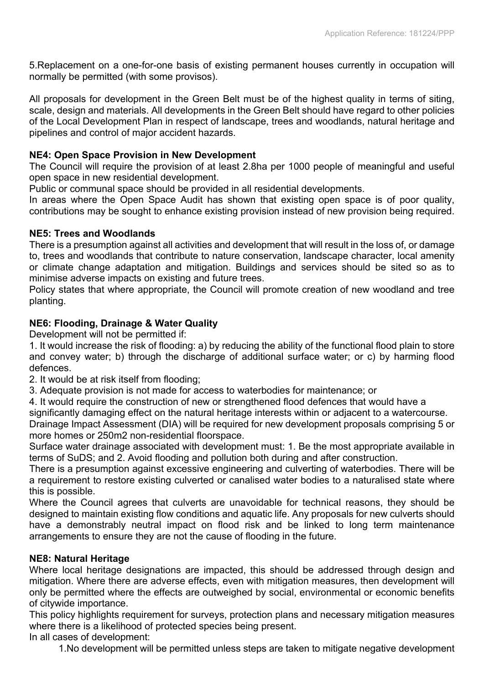5.Replacement on a one-for-one basis of existing permanent houses currently in occupation will normally be permitted (with some provisos).

All proposals for development in the Green Belt must be of the highest quality in terms of siting, scale, design and materials. All developments in the Green Belt should have regard to other policies of the Local Development Plan in respect of landscape, trees and woodlands, natural heritage and pipelines and control of major accident hazards.

### **NE4: Open Space Provision in New Development**

The Council will require the provision of at least 2.8ha per 1000 people of meaningful and useful open space in new residential development.

Public or communal space should be provided in all residential developments.

In areas where the Open Space Audit has shown that existing open space is of poor quality, contributions may be sought to enhance existing provision instead of new provision being required.

### **NE5: Trees and Woodlands**

There is a presumption against all activities and development that will result in the loss of, or damage to, trees and woodlands that contribute to nature conservation, landscape character, local amenity or climate change adaptation and mitigation. Buildings and services should be sited so as to minimise adverse impacts on existing and future trees.

Policy states that where appropriate, the Council will promote creation of new woodland and tree planting.

### **NE6: Flooding, Drainage & Water Quality**

Development will not be permitted if:

1. It would increase the risk of flooding: a) by reducing the ability of the functional flood plain to store and convey water; b) through the discharge of additional surface water; or c) by harming flood defences.

2. It would be at risk itself from flooding;

- 3. Adequate provision is not made for access to waterbodies for maintenance; or
- 4. It would require the construction of new or strengthened flood defences that would have a

significantly damaging effect on the natural heritage interests within or adjacent to a watercourse.

Drainage Impact Assessment (DIA) will be required for new development proposals comprising 5 or more homes or 250m2 non-residential floorspace.

Surface water drainage associated with development must: 1. Be the most appropriate available in terms of SuDS; and 2. Avoid flooding and pollution both during and after construction.

There is a presumption against excessive engineering and culverting of waterbodies. There will be a requirement to restore existing culverted or canalised water bodies to a naturalised state where this is possible.

Where the Council agrees that culverts are unavoidable for technical reasons, they should be designed to maintain existing flow conditions and aquatic life. Any proposals for new culverts should have a demonstrably neutral impact on flood risk and be linked to long term maintenance arrangements to ensure they are not the cause of flooding in the future.

### **NE8: Natural Heritage**

Where local heritage designations are impacted, this should be addressed through design and mitigation. Where there are adverse effects, even with mitigation measures, then development will only be permitted where the effects are outweighed by social, environmental or economic benefits of citywide importance.

This policy highlights requirement for surveys, protection plans and necessary mitigation measures where there is a likelihood of protected species being present.

In all cases of development:

1.No development will be permitted unless steps are taken to mitigate negative development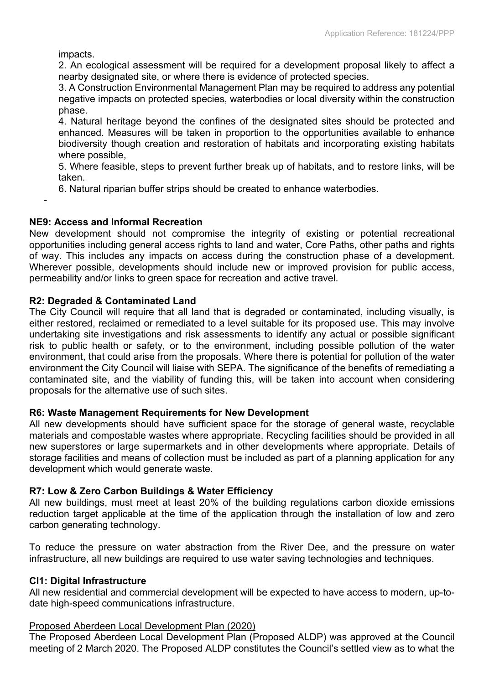impacts.

-

2. An ecological assessment will be required for a development proposal likely to affect a nearby designated site, or where there is evidence of protected species.

3. A Construction Environmental Management Plan may be required to address any potential negative impacts on protected species, waterbodies or local diversity within the construction phase.

4. Natural heritage beyond the confines of the designated sites should be protected and enhanced. Measures will be taken in proportion to the opportunities available to enhance biodiversity though creation and restoration of habitats and incorporating existing habitats where possible,

5. Where feasible, steps to prevent further break up of habitats, and to restore links, will be taken.

6. Natural riparian buffer strips should be created to enhance waterbodies.

### **NE9: Access and Informal Recreation**

New development should not compromise the integrity of existing or potential recreational opportunities including general access rights to land and water, Core Paths, other paths and rights of way. This includes any impacts on access during the construction phase of a development. Wherever possible, developments should include new or improved provision for public access, permeability and/or links to green space for recreation and active travel.

### **R2: Degraded & Contaminated Land**

The City Council will require that all land that is degraded or contaminated, including visually, is either restored, reclaimed or remediated to a level suitable for its proposed use. This may involve undertaking site investigations and risk assessments to identify any actual or possible significant risk to public health or safety, or to the environment, including possible pollution of the water environment, that could arise from the proposals. Where there is potential for pollution of the water environment the City Council will liaise with SEPA. The significance of the benefits of remediating a contaminated site, and the viability of funding this, will be taken into account when considering proposals for the alternative use of such sites.

### **R6: Waste Management Requirements for New Development**

All new developments should have sufficient space for the storage of general waste, recyclable materials and compostable wastes where appropriate. Recycling facilities should be provided in all new superstores or large supermarkets and in other developments where appropriate. Details of storage facilities and means of collection must be included as part of a planning application for any development which would generate waste.

### **R7: Low & Zero Carbon Buildings & Water Efficiency**

All new buildings, must meet at least 20% of the building regulations carbon dioxide emissions reduction target applicable at the time of the application through the installation of low and zero carbon generating technology.

To reduce the pressure on water abstraction from the River Dee, and the pressure on water infrastructure, all new buildings are required to use water saving technologies and techniques.

### **CI1: Digital Infrastructure**

All new residential and commercial development will be expected to have access to modern, up-todate high-speed communications infrastructure.

### Proposed Aberdeen Local Development Plan (2020)

The Proposed Aberdeen Local Development Plan (Proposed ALDP) was approved at the Council meeting of 2 March 2020. The Proposed ALDP constitutes the Council's settled view as to what the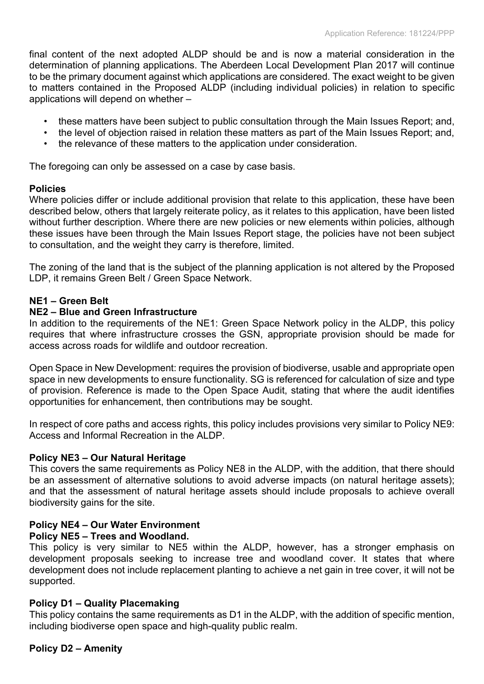final content of the next adopted ALDP should be and is now a material consideration in the determination of planning applications. The Aberdeen Local Development Plan 2017 will continue to be the primary document against which applications are considered. The exact weight to be given to matters contained in the Proposed ALDP (including individual policies) in relation to specific applications will depend on whether –

- these matters have been subject to public consultation through the Main Issues Report; and,
- the level of objection raised in relation these matters as part of the Main Issues Report; and,
- the relevance of these matters to the application under consideration.

The foregoing can only be assessed on a case by case basis.

### **Policies**

Where policies differ or include additional provision that relate to this application, these have been described below, others that largely reiterate policy, as it relates to this application, have been listed without further description. Where there are new policies or new elements within policies, although these issues have been through the Main Issues Report stage, the policies have not been subject to consultation, and the weight they carry is therefore, limited.

The zoning of the land that is the subject of the planning application is not altered by the Proposed LDP, it remains Green Belt / Green Space Network.

### **NE1 – Green Belt**

### **NE2 – Blue and Green Infrastructure**

In addition to the requirements of the NE1: Green Space Network policy in the ALDP, this policy requires that where infrastructure crosses the GSN, appropriate provision should be made for access across roads for wildlife and outdoor recreation.

Open Space in New Development: requires the provision of biodiverse, usable and appropriate open space in new developments to ensure functionality. SG is referenced for calculation of size and type of provision. Reference is made to the Open Space Audit, stating that where the audit identifies opportunities for enhancement, then contributions may be sought.

In respect of core paths and access rights, this policy includes provisions very similar to Policy NE9: Access and Informal Recreation in the ALDP.

### **Policy NE3 – Our Natural Heritage**

This covers the same requirements as Policy NE8 in the ALDP, with the addition, that there should be an assessment of alternative solutions to avoid adverse impacts (on natural heritage assets); and that the assessment of natural heritage assets should include proposals to achieve overall biodiversity gains for the site.

### **Policy NE4 – Our Water Environment**

### **Policy NE5 – Trees and Woodland.**

This policy is very similar to NE5 within the ALDP, however, has a stronger emphasis on development proposals seeking to increase tree and woodland cover. It states that where development does not include replacement planting to achieve a net gain in tree cover, it will not be supported.

### **Policy D1 – Quality Placemaking**

This policy contains the same requirements as D1 in the ALDP, with the addition of specific mention, including biodiverse open space and high-quality public realm.

### **Policy D2 – Amenity**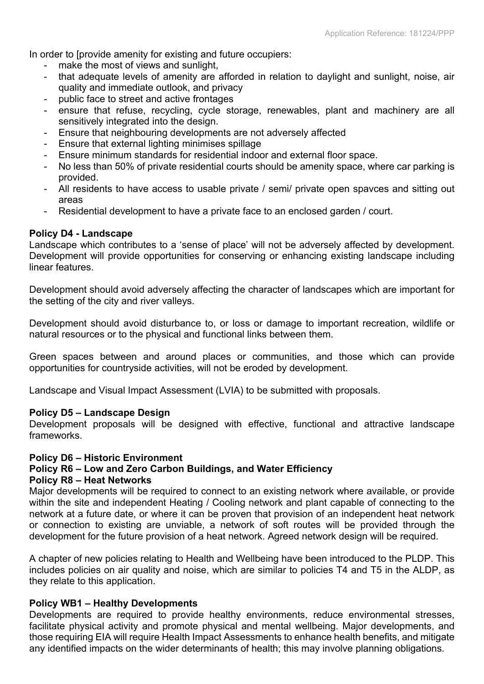In order to *I* provide amenity for existing and future occupiers:

- make the most of views and sunlight,
- that adequate levels of amenity are afforded in relation to daylight and sunlight, noise, air quality and immediate outlook, and privacy
- public face to street and active frontages
- ensure that refuse, recycling, cycle storage, renewables, plant and machinery are all sensitively integrated into the design.
- Ensure that neighbouring developments are not adversely affected
- Ensure that external lighting minimises spillage
- Ensure minimum standards for residential indoor and external floor space.
- No less than 50% of private residential courts should be amenity space, where car parking is provided.
- All residents to have access to usable private / semi/ private open spavces and sitting out areas
- Residential development to have a private face to an enclosed garden / court.

#### **Policy D4 - Landscape**

Landscape which contributes to a 'sense of place' will not be adversely affected by development. Development will provide opportunities for conserving or enhancing existing landscape including linear features.

Development should avoid adversely affecting the character of landscapes which are important for the setting of the city and river valleys.

Development should avoid disturbance to, or loss or damage to important recreation, wildlife or natural resources or to the physical and functional links between them.

Green spaces between and around places or communities, and those which can provide opportunities for countryside activities, will not be eroded by development.

Landscape and Visual Impact Assessment (LVIA) to be submitted with proposals.

#### **Policy D5 – Landscape Design**

Development proposals will be designed with effective, functional and attractive landscape frameworks.

#### **Policy D6 – Historic Environment**

### **Policy R6 – Low and Zero Carbon Buildings, and Water Efficiency**

#### **Policy R8 – Heat Networks**

Major developments will be required to connect to an existing network where available, or provide within the site and independent Heating / Cooling network and plant capable of connecting to the network at a future date, or where it can be proven that provision of an independent heat network or connection to existing are unviable, a network of soft routes will be provided through the development for the future provision of a heat network. Agreed network design will be required.

A chapter of new policies relating to Health and Wellbeing have been introduced to the PLDP. This includes policies on air quality and noise, which are similar to policies T4 and T5 in the ALDP, as they relate to this application.

#### **Policy WB1 – Healthy Developments**

Developments are required to provide healthy environments, reduce environmental stresses, facilitate physical activity and promote physical and mental wellbeing. Major developments, and those requiring EIA will require Health Impact Assessments to enhance health benefits, and mitigate any identified impacts on the wider determinants of health; this may involve planning obligations.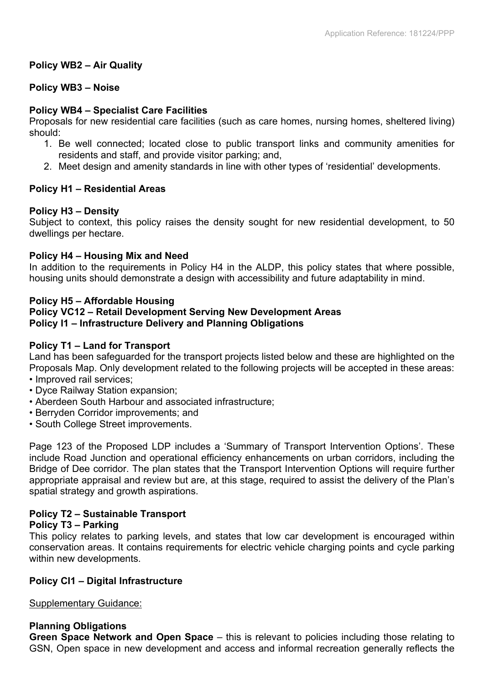### **Policy WB2 – Air Quality**

### **Policy WB3 – Noise**

### **Policy WB4 – Specialist Care Facilities**

Proposals for new residential care facilities (such as care homes, nursing homes, sheltered living) should:

- 1. Be well connected; located close to public transport links and community amenities for residents and staff, and provide visitor parking; and,
- 2. Meet design and amenity standards in line with other types of 'residential' developments.

### **Policy H1 – Residential Areas**

### **Policy H3 – Density**

Subject to context, this policy raises the density sought for new residential development, to 50 dwellings per hectare.

### **Policy H4 – Housing Mix and Need**

In addition to the requirements in Policy H4 in the ALDP, this policy states that where possible, housing units should demonstrate a design with accessibility and future adaptability in mind.

### **Policy H5 – Affordable Housing**

### **Policy VC12 – Retail Development Serving New Development Areas Policy I1 – Infrastructure Delivery and Planning Obligations**

### **Policy T1 – Land for Transport**

Land has been safeguarded for the transport projects listed below and these are highlighted on the Proposals Map. Only development related to the following projects will be accepted in these areas:

- Improved rail services;
- Dyce Railway Station expansion;
- Aberdeen South Harbour and associated infrastructure;
- Berryden Corridor improvements; and
- South College Street improvements.

Page 123 of the Proposed LDP includes a 'Summary of Transport Intervention Options'. These include Road Junction and operational efficiency enhancements on urban corridors, including the Bridge of Dee corridor. The plan states that the Transport Intervention Options will require further appropriate appraisal and review but are, at this stage, required to assist the delivery of the Plan's spatial strategy and growth aspirations.

# **Policy T2 – Sustainable Transport**

### **Policy T3 – Parking**

This policy relates to parking levels, and states that low car development is encouraged within conservation areas. It contains requirements for electric vehicle charging points and cycle parking within new developments.

### **Policy CI1 – Digital Infrastructure**

Supplementary Guidance:

### **Planning Obligations**

**Green Space Network and Open Space** – this is relevant to policies including those relating to GSN, Open space in new development and access and informal recreation generally reflects the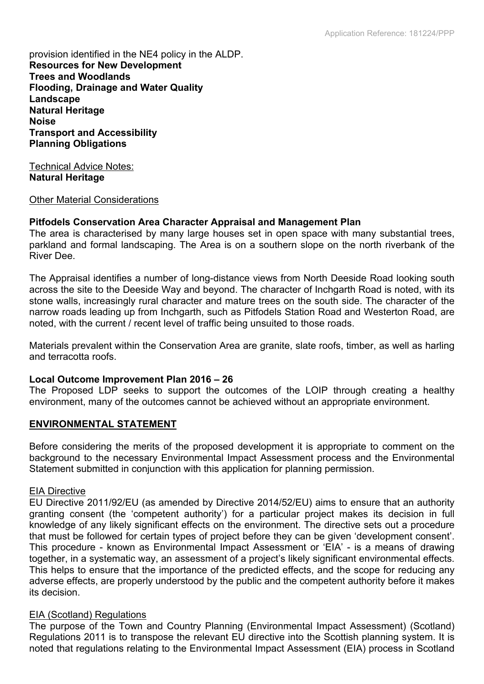provision identified in the NE4 policy in the ALDP. **Resources for New Development Trees and Woodlands Flooding, Drainage and Water Quality Landscape Natural Heritage Noise Transport and Accessibility Planning Obligations**

Technical Advice Notes: **Natural Heritage**

#### Other Material Considerations

### **Pitfodels Conservation Area Character Appraisal and Management Plan**

The area is characterised by many large houses set in open space with many substantial trees, parkland and formal landscaping. The Area is on a southern slope on the north riverbank of the River Dee.

The Appraisal identifies a number of long-distance views from North Deeside Road looking south across the site to the Deeside Way and beyond. The character of Inchgarth Road is noted, with its stone walls, increasingly rural character and mature trees on the south side. The character of the narrow roads leading up from Inchgarth, such as Pitfodels Station Road and Westerton Road, are noted, with the current / recent level of traffic being unsuited to those roads.

Materials prevalent within the Conservation Area are granite, slate roofs, timber, as well as harling and terracotta roofs.

### **Local Outcome Improvement Plan 2016 – 26**

The Proposed LDP seeks to support the outcomes of the LOIP through creating a healthy environment, many of the outcomes cannot be achieved without an appropriate environment.

### **ENVIRONMENTAL STATEMENT**

Before considering the merits of the proposed development it is appropriate to comment on the background to the necessary Environmental Impact Assessment process and the Environmental Statement submitted in conjunction with this application for planning permission.

#### EIA Directive

EU Directive 2011/92/EU (as amended by Directive 2014/52/EU) aims to ensure that an authority granting consent (the 'competent authority') for a particular project makes its decision in full knowledge of any likely significant effects on the environment. The directive sets out a procedure that must be followed for certain types of project before they can be given 'development consent'. This procedure - known as Environmental Impact Assessment or 'EIA' - is a means of drawing together, in a systematic way, an assessment of a project's likely significant environmental effects. This helps to ensure that the importance of the predicted effects, and the scope for reducing any adverse effects, are properly understood by the public and the competent authority before it makes its decision.

#### EIA (Scotland) Regulations

The purpose of the Town and Country Planning (Environmental Impact Assessment) (Scotland) Regulations 2011 is to transpose the relevant EU directive into the Scottish planning system. It is noted that regulations relating to the Environmental Impact Assessment (EIA) process in Scotland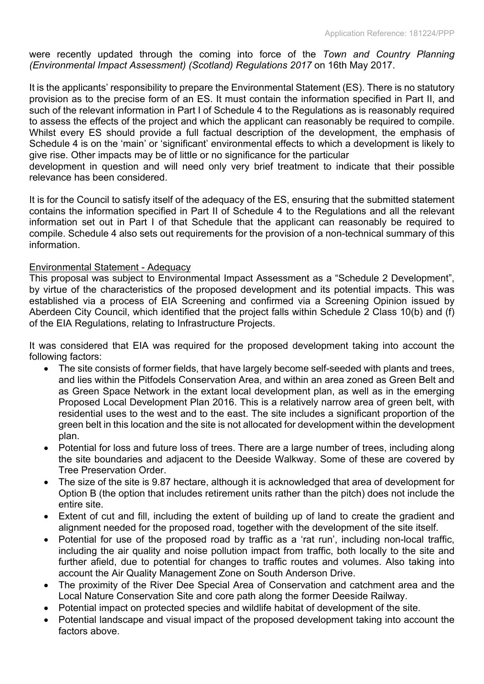were recently updated through the coming into force of the *Town and Country Planning (Environmental Impact Assessment) (Scotland) Regulations 2017* on 16th May 2017.

It is the applicants' responsibility to prepare the Environmental Statement (ES). There is no statutory provision as to the precise form of an ES. It must contain the information specified in Part II, and such of the relevant information in Part I of Schedule 4 to the Regulations as is reasonably required to assess the effects of the project and which the applicant can reasonably be required to compile. Whilst every ES should provide a full factual description of the development, the emphasis of Schedule 4 is on the 'main' or 'significant' environmental effects to which a development is likely to give rise. Other impacts may be of little or no significance for the particular

development in question and will need only very brief treatment to indicate that their possible relevance has been considered.

It is for the Council to satisfy itself of the adequacy of the ES, ensuring that the submitted statement contains the information specified in Part II of Schedule 4 to the Regulations and all the relevant information set out in Part I of that Schedule that the applicant can reasonably be required to compile. Schedule 4 also sets out requirements for the provision of a non-technical summary of this information.

### Environmental Statement - Adequacy

This proposal was subject to Environmental Impact Assessment as a "Schedule 2 Development", by virtue of the characteristics of the proposed development and its potential impacts. This was established via a process of EIA Screening and confirmed via a Screening Opinion issued by Aberdeen City Council, which identified that the project falls within Schedule 2 Class 10(b) and (f) of the EIA Regulations, relating to Infrastructure Projects.

It was considered that EIA was required for the proposed development taking into account the following factors:

- The site consists of former fields, that have largely become self-seeded with plants and trees, and lies within the Pitfodels Conservation Area, and within an area zoned as Green Belt and as Green Space Network in the extant local development plan, as well as in the emerging Proposed Local Development Plan 2016. This is a relatively narrow area of green belt, with residential uses to the west and to the east. The site includes a significant proportion of the green belt in this location and the site is not allocated for development within the development plan.
- Potential for loss and future loss of trees. There are a large number of trees, including along the site boundaries and adjacent to the Deeside Walkway. Some of these are covered by Tree Preservation Order.
- The size of the site is 9.87 hectare, although it is acknowledged that area of development for Option B (the option that includes retirement units rather than the pitch) does not include the entire site.
- Extent of cut and fill, including the extent of building up of land to create the gradient and alignment needed for the proposed road, together with the development of the site itself.
- Potential for use of the proposed road by traffic as a 'rat run', including non-local traffic, including the air quality and noise pollution impact from traffic, both locally to the site and further afield, due to potential for changes to traffic routes and volumes. Also taking into account the Air Quality Management Zone on South Anderson Drive.
- The proximity of the River Dee Special Area of Conservation and catchment area and the Local Nature Conservation Site and core path along the former Deeside Railway.
- Potential impact on protected species and wildlife habitat of development of the site.
- Potential landscape and visual impact of the proposed development taking into account the factors above.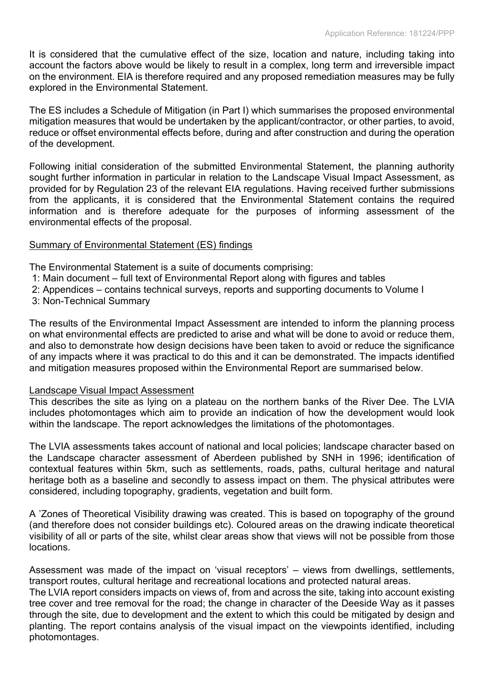It is considered that the cumulative effect of the size, location and nature, including taking into account the factors above would be likely to result in a complex, long term and irreversible impact on the environment. EIA is therefore required and any proposed remediation measures may be fully explored in the Environmental Statement.

The ES includes a Schedule of Mitigation (in Part I) which summarises the proposed environmental mitigation measures that would be undertaken by the applicant/contractor, or other parties, to avoid, reduce or offset environmental effects before, during and after construction and during the operation of the development.

Following initial consideration of the submitted Environmental Statement, the planning authority sought further information in particular in relation to the Landscape Visual Impact Assessment, as provided for by Regulation 23 of the relevant EIA regulations. Having received further submissions from the applicants, it is considered that the Environmental Statement contains the required information and is therefore adequate for the purposes of informing assessment of the environmental effects of the proposal.

### Summary of Environmental Statement (ES) findings

The Environmental Statement is a suite of documents comprising:

- 1: Main document full text of Environmental Report along with figures and tables
- 2: Appendices contains technical surveys, reports and supporting documents to Volume I
- 3: Non-Technical Summary

The results of the Environmental Impact Assessment are intended to inform the planning process on what environmental effects are predicted to arise and what will be done to avoid or reduce them, and also to demonstrate how design decisions have been taken to avoid or reduce the significance of any impacts where it was practical to do this and it can be demonstrated. The impacts identified and mitigation measures proposed within the Environmental Report are summarised below.

### Landscape Visual Impact Assessment

This describes the site as lying on a plateau on the northern banks of the River Dee. The LVIA includes photomontages which aim to provide an indication of how the development would look within the landscape. The report acknowledges the limitations of the photomontages.

The LVIA assessments takes account of national and local policies; landscape character based on the Landscape character assessment of Aberdeen published by SNH in 1996; identification of contextual features within 5km, such as settlements, roads, paths, cultural heritage and natural heritage both as a baseline and secondly to assess impact on them. The physical attributes were considered, including topography, gradients, vegetation and built form.

A 'Zones of Theoretical Visibility drawing was created. This is based on topography of the ground (and therefore does not consider buildings etc). Coloured areas on the drawing indicate theoretical visibility of all or parts of the site, whilst clear areas show that views will not be possible from those locations.

Assessment was made of the impact on 'visual receptors' – views from dwellings, settlements, transport routes, cultural heritage and recreational locations and protected natural areas.

The LVIA report considers impacts on views of, from and across the site, taking into account existing tree cover and tree removal for the road; the change in character of the Deeside Way as it passes through the site, due to development and the extent to which this could be mitigated by design and planting. The report contains analysis of the visual impact on the viewpoints identified, including photomontages.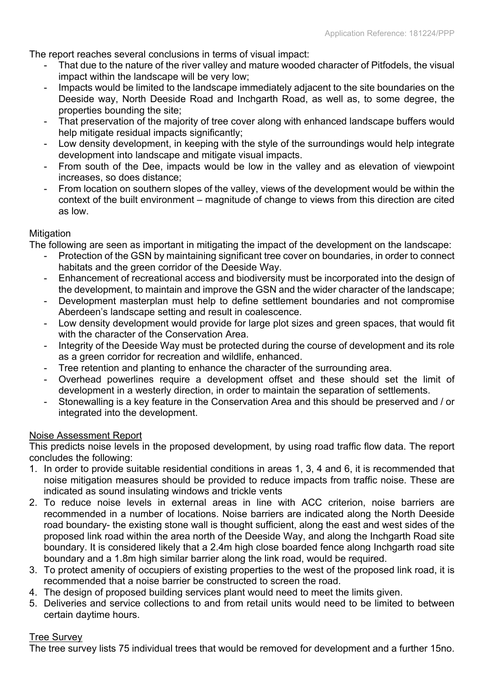The report reaches several conclusions in terms of visual impact:

- That due to the nature of the river valley and mature wooded character of Pitfodels, the visual impact within the landscape will be very low;
- Impacts would be limited to the landscape immediately adjacent to the site boundaries on the Deeside way, North Deeside Road and Inchgarth Road, as well as, to some degree, the properties bounding the site;
- That preservation of the majority of tree cover along with enhanced landscape buffers would help mitigate residual impacts significantly:
- Low density development, in keeping with the style of the surroundings would help integrate development into landscape and mitigate visual impacts.
- From south of the Dee, impacts would be low in the valley and as elevation of viewpoint increases, so does distance;
- From location on southern slopes of the valley, views of the development would be within the context of the built environment – magnitude of change to views from this direction are cited as low.

### **Mitigation**

The following are seen as important in mitigating the impact of the development on the landscape:

- Protection of the GSN by maintaining significant tree cover on boundaries, in order to connect habitats and the green corridor of the Deeside Way.
- Enhancement of recreational access and biodiversity must be incorporated into the design of the development, to maintain and improve the GSN and the wider character of the landscape;
- Development masterplan must help to define settlement boundaries and not compromise Aberdeen's landscape setting and result in coalescence.
- Low density development would provide for large plot sizes and green spaces, that would fit with the character of the Conservation Area.
- Integrity of the Deeside Way must be protected during the course of development and its role as a green corridor for recreation and wildlife, enhanced.
- Tree retention and planting to enhance the character of the surrounding area.
- Overhead powerlines require a development offset and these should set the limit of development in a westerly direction, in order to maintain the separation of settlements.
- Stonewalling is a key feature in the Conservation Area and this should be preserved and / or integrated into the development.

## Noise Assessment Report

This predicts noise levels in the proposed development, by using road traffic flow data. The report concludes the following:

- 1. In order to provide suitable residential conditions in areas 1, 3, 4 and 6, it is recommended that noise mitigation measures should be provided to reduce impacts from traffic noise. These are indicated as sound insulating windows and trickle vents
- 2. To reduce noise levels in external areas in line with ACC criterion, noise barriers are recommended in a number of locations. Noise barriers are indicated along the North Deeside road boundary- the existing stone wall is thought sufficient, along the east and west sides of the proposed link road within the area north of the Deeside Way, and along the Inchgarth Road site boundary. It is considered likely that a 2.4m high close boarded fence along Inchgarth road site boundary and a 1.8m high similar barrier along the link road, would be required.
- 3. To protect amenity of occupiers of existing properties to the west of the proposed link road, it is recommended that a noise barrier be constructed to screen the road.
- 4. The design of proposed building services plant would need to meet the limits given.
- 5. Deliveries and service collections to and from retail units would need to be limited to between certain daytime hours.

### Tree Survey

The tree survey lists 75 individual trees that would be removed for development and a further 15no.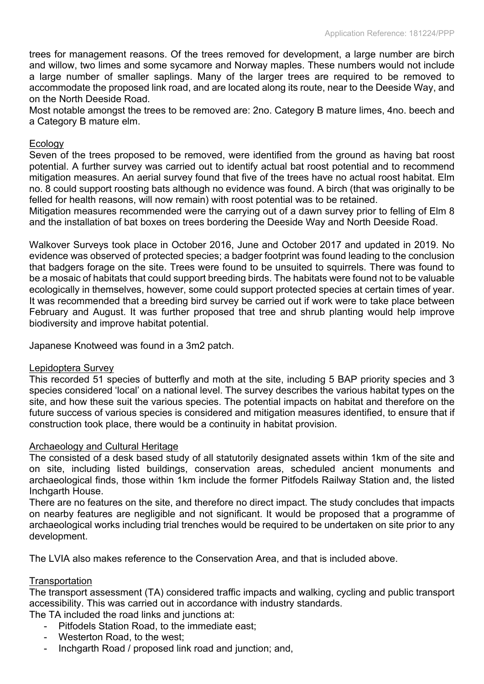trees for management reasons. Of the trees removed for development, a large number are birch and willow, two limes and some sycamore and Norway maples. These numbers would not include a large number of smaller saplings. Many of the larger trees are required to be removed to accommodate the proposed link road, and are located along its route, near to the Deeside Way, and on the North Deeside Road.

Most notable amongst the trees to be removed are: 2no. Category B mature limes, 4no. beech and a Category B mature elm.

### Ecology

Seven of the trees proposed to be removed, were identified from the ground as having bat roost potential. A further survey was carried out to identify actual bat roost potential and to recommend mitigation measures. An aerial survey found that five of the trees have no actual roost habitat. Elm no. 8 could support roosting bats although no evidence was found. A birch (that was originally to be felled for health reasons, will now remain) with roost potential was to be retained.

Mitigation measures recommended were the carrying out of a dawn survey prior to felling of Elm 8 and the installation of bat boxes on trees bordering the Deeside Way and North Deeside Road.

Walkover Surveys took place in October 2016, June and October 2017 and updated in 2019. No evidence was observed of protected species; a badger footprint was found leading to the conclusion that badgers forage on the site. Trees were found to be unsuited to squirrels. There was found to be a mosaic of habitats that could support breeding birds. The habitats were found not to be valuable ecologically in themselves, however, some could support protected species at certain times of year. It was recommended that a breeding bird survey be carried out if work were to take place between February and August. It was further proposed that tree and shrub planting would help improve biodiversity and improve habitat potential.

Japanese Knotweed was found in a 3m2 patch.

#### Lepidoptera Survey

This recorded 51 species of butterfly and moth at the site, including 5 BAP priority species and 3 species considered 'local' on a national level. The survey describes the various habitat types on the site, and how these suit the various species. The potential impacts on habitat and therefore on the future success of various species is considered and mitigation measures identified, to ensure that if construction took place, there would be a continuity in habitat provision.

#### Archaeology and Cultural Heritage

The consisted of a desk based study of all statutorily designated assets within 1km of the site and on site, including listed buildings, conservation areas, scheduled ancient monuments and archaeological finds, those within 1km include the former Pitfodels Railway Station and, the listed Inchgarth House.

There are no features on the site, and therefore no direct impact. The study concludes that impacts on nearby features are negligible and not significant. It would be proposed that a programme of archaeological works including trial trenches would be required to be undertaken on site prior to any development.

The LVIA also makes reference to the Conservation Area, and that is included above.

### **Transportation**

The transport assessment (TA) considered traffic impacts and walking, cycling and public transport accessibility. This was carried out in accordance with industry standards.

The TA included the road links and junctions at:

- Pitfodels Station Road, to the immediate east;
- Westerton Road, to the west;
- Inchgarth Road / proposed link road and junction; and,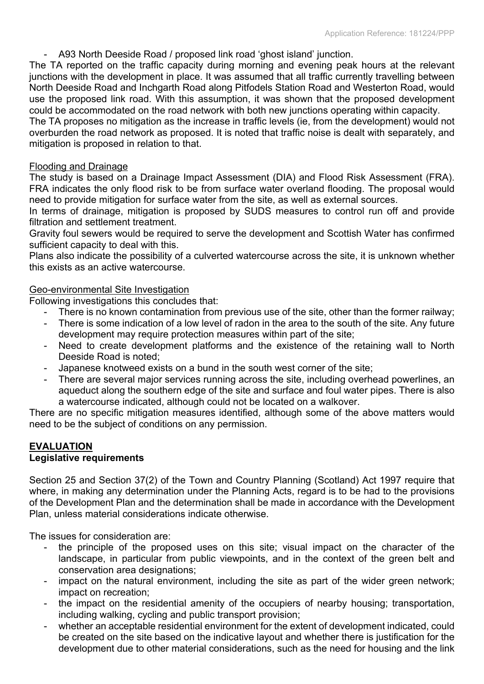- A93 North Deeside Road / proposed link road 'ghost island' junction.

The TA reported on the traffic capacity during morning and evening peak hours at the relevant junctions with the development in place. It was assumed that all traffic currently travelling between North Deeside Road and Inchgarth Road along Pitfodels Station Road and Westerton Road, would use the proposed link road. With this assumption, it was shown that the proposed development could be accommodated on the road network with both new junctions operating within capacity.

The TA proposes no mitigation as the increase in traffic levels (ie, from the development) would not overburden the road network as proposed. It is noted that traffic noise is dealt with separately, and mitigation is proposed in relation to that.

### Flooding and Drainage

The study is based on a Drainage Impact Assessment (DIA) and Flood Risk Assessment (FRA). FRA indicates the only flood risk to be from surface water overland flooding. The proposal would need to provide mitigation for surface water from the site, as well as external sources.

In terms of drainage, mitigation is proposed by SUDS measures to control run off and provide filtration and settlement treatment.

Gravity foul sewers would be required to serve the development and Scottish Water has confirmed sufficient capacity to deal with this.

Plans also indicate the possibility of a culverted watercourse across the site, it is unknown whether this exists as an active watercourse.

#### Geo-environmental Site Investigation

Following investigations this concludes that:

- There is no known contamination from previous use of the site, other than the former railway;
- There is some indication of a low level of radon in the area to the south of the site. Any future development may require protection measures within part of the site;
- Need to create development platforms and the existence of the retaining wall to North Deeside Road is noted;
- Japanese knotweed exists on a bund in the south west corner of the site;
- There are several major services running across the site, including overhead powerlines, an aqueduct along the southern edge of the site and surface and foul water pipes. There is also a watercourse indicated, although could not be located on a walkover.

There are no specific mitigation measures identified, although some of the above matters would need to be the subject of conditions on any permission.

### **EVALUATION Legislative requirements**

Section 25 and Section 37(2) of the Town and Country Planning (Scotland) Act 1997 require that where, in making any determination under the Planning Acts, regard is to be had to the provisions of the Development Plan and the determination shall be made in accordance with the Development Plan, unless material considerations indicate otherwise.

The issues for consideration are:

- the principle of the proposed uses on this site; visual impact on the character of the landscape, in particular from public viewpoints, and in the context of the green belt and conservation area designations;
- impact on the natural environment, including the site as part of the wider green network; impact on recreation;
- the impact on the residential amenity of the occupiers of nearby housing; transportation, including walking, cycling and public transport provision;
- whether an acceptable residential environment for the extent of development indicated, could be created on the site based on the indicative layout and whether there is justification for the development due to other material considerations, such as the need for housing and the link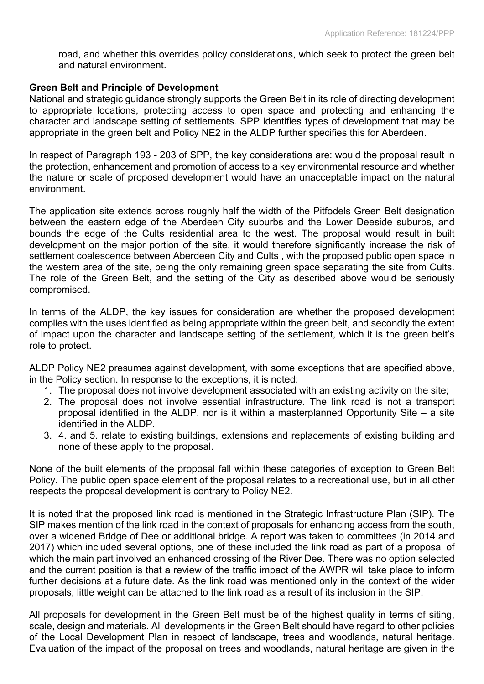road, and whether this overrides policy considerations, which seek to protect the green belt and natural environment.

#### **Green Belt and Principle of Development**

National and strategic guidance strongly supports the Green Belt in its role of directing development to appropriate locations, protecting access to open space and protecting and enhancing the character and landscape setting of settlements. SPP identifies types of development that may be appropriate in the green belt and Policy NE2 in the ALDP further specifies this for Aberdeen.

In respect of Paragraph 193 - 203 of SPP, the key considerations are: would the proposal result in the protection, enhancement and promotion of access to a key environmental resource and whether the nature or scale of proposed development would have an unacceptable impact on the natural environment.

The application site extends across roughly half the width of the Pitfodels Green Belt designation between the eastern edge of the Aberdeen City suburbs and the Lower Deeside suburbs, and bounds the edge of the Cults residential area to the west. The proposal would result in built development on the major portion of the site, it would therefore significantly increase the risk of settlement coalescence between Aberdeen City and Cults , with the proposed public open space in the western area of the site, being the only remaining green space separating the site from Cults. The role of the Green Belt, and the setting of the City as described above would be seriously compromised.

In terms of the ALDP, the key issues for consideration are whether the proposed development complies with the uses identified as being appropriate within the green belt, and secondly the extent of impact upon the character and landscape setting of the settlement, which it is the green belt's role to protect.

ALDP Policy NE2 presumes against development, with some exceptions that are specified above, in the Policy section. In response to the exceptions, it is noted:

- 1. The proposal does not involve development associated with an existing activity on the site;
- 2. The proposal does not involve essential infrastructure. The link road is not a transport proposal identified in the ALDP, nor is it within a masterplanned Opportunity Site – a site identified in the ALDP.
- 3. 4. and 5. relate to existing buildings, extensions and replacements of existing building and none of these apply to the proposal.

None of the built elements of the proposal fall within these categories of exception to Green Belt Policy. The public open space element of the proposal relates to a recreational use, but in all other respects the proposal development is contrary to Policy NE2.

It is noted that the proposed link road is mentioned in the Strategic Infrastructure Plan (SIP). The SIP makes mention of the link road in the context of proposals for enhancing access from the south, over a widened Bridge of Dee or additional bridge. A report was taken to committees (in 2014 and 2017) which included several options, one of these included the link road as part of a proposal of which the main part involved an enhanced crossing of the River Dee. There was no option selected and the current position is that a review of the traffic impact of the AWPR will take place to inform further decisions at a future date. As the link road was mentioned only in the context of the wider proposals, little weight can be attached to the link road as a result of its inclusion in the SIP.

All proposals for development in the Green Belt must be of the highest quality in terms of siting, scale, design and materials. All developments in the Green Belt should have regard to other policies of the Local Development Plan in respect of landscape, trees and woodlands, natural heritage. Evaluation of the impact of the proposal on trees and woodlands, natural heritage are given in the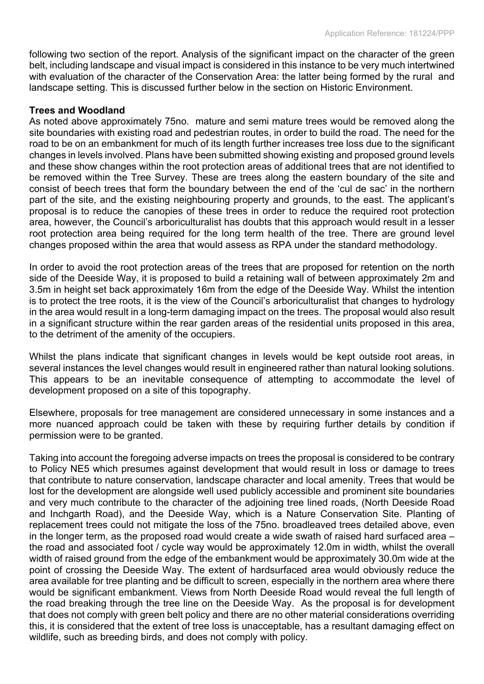following two section of the report. Analysis of the significant impact on the character of the green belt, including landscape and visual impact is considered in this instance to be very much intertwined with evaluation of the character of the Conservation Area: the latter being formed by the rural and landscape setting. This is discussed further below in the section on Historic Environment.

### **Trees and Woodland**

As noted above approximately 75no. mature and semi mature trees would be removed along the site boundaries with existing road and pedestrian routes, in order to build the road. The need for the road to be on an embankment for much of its length further increases tree loss due to the significant changes in levels involved. Plans have been submitted showing existing and proposed ground levels and these show changes within the root protection areas of additional trees that are not identified to be removed within the Tree Survey. These are trees along the eastern boundary of the site and consist of beech trees that form the boundary between the end of the 'cul de sac' in the northern part of the site, and the existing neighbouring property and grounds, to the east. The applicant's proposal is to reduce the canopies of these trees in order to reduce the required root protection area, however, the Council's arboriculturalist has doubts that this approach would result in a lesser root protection area being required for the long term health of the tree. There are ground level changes proposed within the area that would assess as RPA under the standard methodology.

In order to avoid the root protection areas of the trees that are proposed for retention on the north side of the Deeside Way, it is proposed to build a retaining wall of between approximately 2m and 3.5m in height set back approximately 16m from the edge of the Deeside Way. Whilst the intention is to protect the tree roots, it is the view of the Council's arboriculturalist that changes to hydrology in the area would result in a long-term damaging impact on the trees. The proposal would also result in a significant structure within the rear garden areas of the residential units proposed in this area, to the detriment of the amenity of the occupiers.

Whilst the plans indicate that significant changes in levels would be kept outside root areas, in several instances the level changes would result in engineered rather than natural looking solutions. This appears to be an inevitable consequence of attempting to accommodate the level of development proposed on a site of this topography.

Elsewhere, proposals for tree management are considered unnecessary in some instances and a more nuanced approach could be taken with these by requiring further details by condition if permission were to be granted.

Taking into account the foregoing adverse impacts on trees the proposal is considered to be contrary to Policy NE5 which presumes against development that would result in loss or damage to trees that contribute to nature conservation, landscape character and local amenity. Trees that would be lost for the development are alongside well used publicly accessible and prominent site boundaries and very much contribute to the character of the adjoining tree lined roads, (North Deeside Road and Inchgarth Road), and the Deeside Way, which is a Nature Conservation Site. Planting of replacement trees could not mitigate the loss of the 75no. broadleaved trees detailed above, even in the longer term, as the proposed road would create a wide swath of raised hard surfaced area – the road and associated foot / cycle way would be approximately 12.0m in width, whilst the overall width of raised ground from the edge of the embankment would be approximately 30.0m wide at the point of crossing the Deeside Way. The extent of hardsurfaced area would obviously reduce the area available for tree planting and be difficult to screen, especially in the northern area where there would be significant embankment. Views from North Deeside Road would reveal the full length of the road breaking through the tree line on the Deeside Way. As the proposal is for development that does not comply with green belt policy and there are no other material considerations overriding this, it is considered that the extent of tree loss is unacceptable, has a resultant damaging effect on wildlife, such as breeding birds, and does not comply with policy.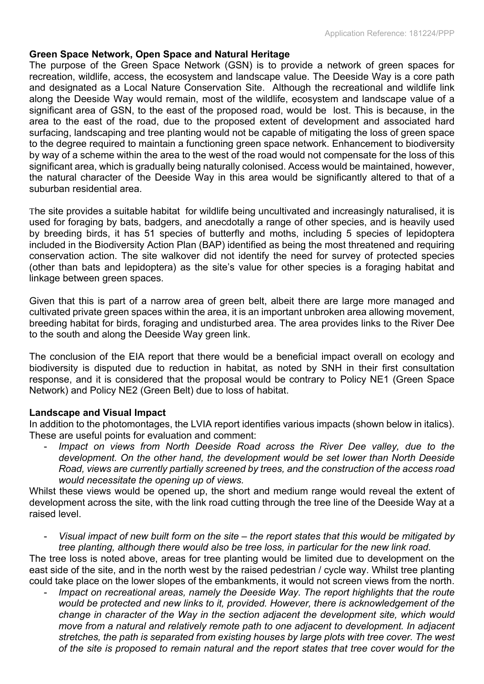### **Green Space Network, Open Space and Natural Heritage**

The purpose of the Green Space Network (GSN) is to provide a network of green spaces for recreation, wildlife, access, the ecosystem and landscape value. The Deeside Way is a core path and designated as a Local Nature Conservation Site. Although the recreational and wildlife link along the Deeside Way would remain, most of the wildlife, ecosystem and landscape value of a significant area of GSN, to the east of the proposed road, would be lost. This is because, in the area to the east of the road, due to the proposed extent of development and associated hard surfacing, landscaping and tree planting would not be capable of mitigating the loss of green space to the degree required to maintain a functioning green space network. Enhancement to biodiversity by way of a scheme within the area to the west of the road would not compensate for the loss of this significant area, which is gradually being naturally colonised. Access would be maintained, however, the natural character of the Deeside Way in this area would be significantly altered to that of a suburban residential area.

The site provides a suitable habitat for wildlife being uncultivated and increasingly naturalised, it is used for foraging by bats, badgers, and anecdotally a range of other species, and is heavily used by breeding birds, it has 51 species of butterfly and moths, including 5 species of lepidoptera included in the Biodiversity Action Plan (BAP) identified as being the most threatened and requiring conservation action. The site walkover did not identify the need for survey of protected species (other than bats and lepidoptera) as the site's value for other species is a foraging habitat and linkage between green spaces.

Given that this is part of a narrow area of green belt, albeit there are large more managed and cultivated private green spaces within the area, it is an important unbroken area allowing movement, breeding habitat for birds, foraging and undisturbed area. The area provides links to the River Dee to the south and along the Deeside Way green link.

The conclusion of the EIA report that there would be a beneficial impact overall on ecology and biodiversity is disputed due to reduction in habitat, as noted by SNH in their first consultation response, and it is considered that the proposal would be contrary to Policy NE1 (Green Space Network) and Policy NE2 (Green Belt) due to loss of habitat.

### **Landscape and Visual Impact**

In addition to the photomontages, the LVIA report identifies various impacts (shown below in italics). These are useful points for evaluation and comment:

- *Impact on views from North Deeside Road across the River Dee valley, due to the development. On the other hand, the development would be set lower than North Deeside Road, views are currently partially screened by trees, and the construction of the access road would necessitate the opening up of views.*

Whilst these views would be opened up, the short and medium range would reveal the extent of development across the site, with the link road cutting through the tree line of the Deeside Way at a raised level.

Visual impact of new built form on the site – the report states that this would be mitigated by *tree planting, although there would also be tree loss, in particular for the new link road.*

The tree loss is noted above, areas for tree planting would be limited due to development on the east side of the site, and in the north west by the raised pedestrian / cycle way. Whilst tree planting could take place on the lower slopes of the embankments, it would not screen views from the north.

- *Impact on recreational areas, namely the Deeside Way. The report highlights that the route would be protected and new links to it, provided. However, there is acknowledgement of the change in character of the Way in the section adjacent the development site, which would move from a natural and relatively remote path to one adjacent to development. In adjacent stretches, the path is separated from existing houses by large plots with tree cover. The west of the site is proposed to remain natural and the report states that tree cover would for the*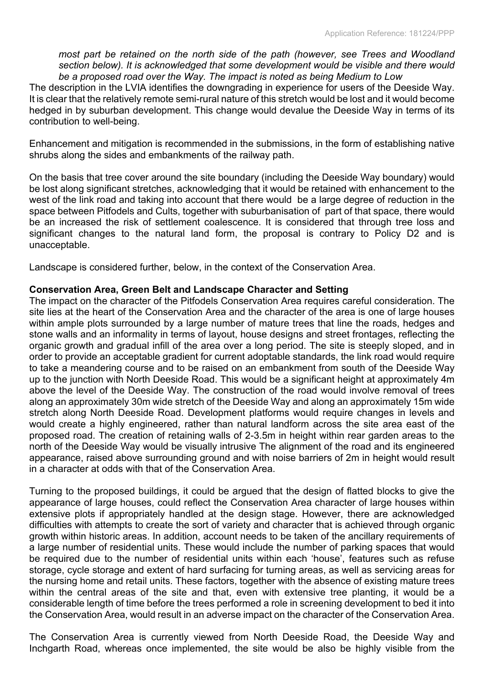*most part be retained on the north side of the path (however, see Trees and Woodland section below). It is acknowledged that some development would be visible and there would be a proposed road over the Way. The impact is noted as being Medium to Low*

The description in the LVIA identifies the downgrading in experience for users of the Deeside Way. It is clear that the relatively remote semi-rural nature of this stretch would be lost and it would become hedged in by suburban development. This change would devalue the Deeside Way in terms of its contribution to well-being.

Enhancement and mitigation is recommended in the submissions, in the form of establishing native shrubs along the sides and embankments of the railway path.

On the basis that tree cover around the site boundary (including the Deeside Way boundary) would be lost along significant stretches, acknowledging that it would be retained with enhancement to the west of the link road and taking into account that there would be a large degree of reduction in the space between Pitfodels and Cults, together with suburbanisation of part of that space, there would be an increased the risk of settlement coalescence. It is considered that through tree loss and significant changes to the natural land form, the proposal is contrary to Policy D2 and is unacceptable.

Landscape is considered further, below, in the context of the Conservation Area.

### **Conservation Area, Green Belt and Landscape Character and Setting**

The impact on the character of the Pitfodels Conservation Area requires careful consideration. The site lies at the heart of the Conservation Area and the character of the area is one of large houses within ample plots surrounded by a large number of mature trees that line the roads, hedges and stone walls and an informality in terms of layout, house designs and street frontages, reflecting the organic growth and gradual infill of the area over a long period. The site is steeply sloped, and in order to provide an acceptable gradient for current adoptable standards, the link road would require to take a meandering course and to be raised on an embankment from south of the Deeside Way up to the junction with North Deeside Road. This would be a significant height at approximately 4m above the level of the Deeside Way. The construction of the road would involve removal of trees along an approximately 30m wide stretch of the Deeside Way and along an approximately 15m wide stretch along North Deeside Road. Development platforms would require changes in levels and would create a highly engineered, rather than natural landform across the site area east of the proposed road. The creation of retaining walls of 2-3.5m in height within rear garden areas to the north of the Deeside Way would be visually intrusive The alignment of the road and its engineered appearance, raised above surrounding ground and with noise barriers of 2m in height would result in a character at odds with that of the Conservation Area.

Turning to the proposed buildings, it could be argued that the design of flatted blocks to give the appearance of large houses, could reflect the Conservation Area character of large houses within extensive plots if appropriately handled at the design stage. However, there are acknowledged difficulties with attempts to create the sort of variety and character that is achieved through organic growth within historic areas. In addition, account needs to be taken of the ancillary requirements of a large number of residential units. These would include the number of parking spaces that would be required due to the number of residential units within each 'house', features such as refuse storage, cycle storage and extent of hard surfacing for turning areas, as well as servicing areas for the nursing home and retail units. These factors, together with the absence of existing mature trees within the central areas of the site and that, even with extensive tree planting, it would be a considerable length of time before the trees performed a role in screening development to bed it into the Conservation Area, would result in an adverse impact on the character of the Conservation Area.

The Conservation Area is currently viewed from North Deeside Road, the Deeside Way and Inchgarth Road, whereas once implemented, the site would be also be highly visible from the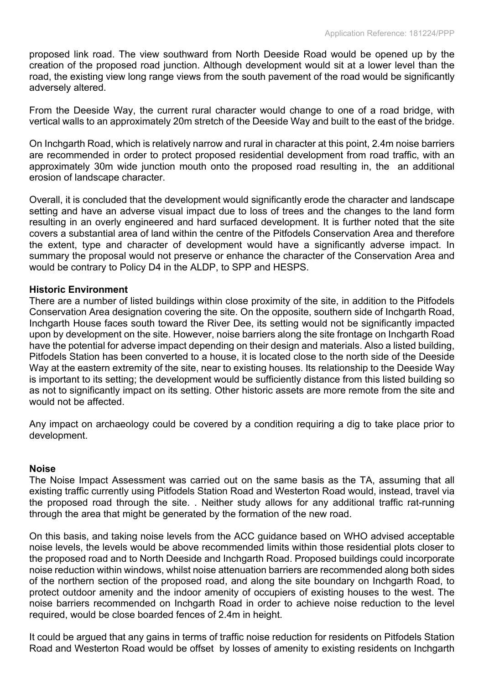proposed link road. The view southward from North Deeside Road would be opened up by the creation of the proposed road junction. Although development would sit at a lower level than the road, the existing view long range views from the south pavement of the road would be significantly adversely altered.

From the Deeside Way, the current rural character would change to one of a road bridge, with vertical walls to an approximately 20m stretch of the Deeside Way and built to the east of the bridge.

On Inchgarth Road, which is relatively narrow and rural in character at this point, 2.4m noise barriers are recommended in order to protect proposed residential development from road traffic, with an approximately 30m wide junction mouth onto the proposed road resulting in, the an additional erosion of landscape character.

Overall, it is concluded that the development would significantly erode the character and landscape setting and have an adverse visual impact due to loss of trees and the changes to the land form resulting in an overly engineered and hard surfaced development. It is further noted that the site covers a substantial area of land within the centre of the Pitfodels Conservation Area and therefore the extent, type and character of development would have a significantly adverse impact. In summary the proposal would not preserve or enhance the character of the Conservation Area and would be contrary to Policy D4 in the ALDP, to SPP and HESPS.

### **Historic Environment**

There are a number of listed buildings within close proximity of the site, in addition to the Pitfodels Conservation Area designation covering the site. On the opposite, southern side of Inchgarth Road, Inchgarth House faces south toward the River Dee, its setting would not be significantly impacted upon by development on the site. However, noise barriers along the site frontage on Inchgarth Road have the potential for adverse impact depending on their design and materials. Also a listed building, Pitfodels Station has been converted to a house, it is located close to the north side of the Deeside Way at the eastern extremity of the site, near to existing houses. Its relationship to the Deeside Way is important to its setting; the development would be sufficiently distance from this listed building so as not to significantly impact on its setting. Other historic assets are more remote from the site and would not be affected.

Any impact on archaeology could be covered by a condition requiring a dig to take place prior to development.

#### **Noise**

The Noise Impact Assessment was carried out on the same basis as the TA, assuming that all existing traffic currently using Pitfodels Station Road and Westerton Road would, instead, travel via the proposed road through the site. . Neither study allows for any additional traffic rat-running through the area that might be generated by the formation of the new road.

On this basis, and taking noise levels from the ACC guidance based on WHO advised acceptable noise levels, the levels would be above recommended limits within those residential plots closer to the proposed road and to North Deeside and Inchgarth Road. Proposed buildings could incorporate noise reduction within windows, whilst noise attenuation barriers are recommended along both sides of the northern section of the proposed road, and along the site boundary on Inchgarth Road, to protect outdoor amenity and the indoor amenity of occupiers of existing houses to the west. The noise barriers recommended on Inchgarth Road in order to achieve noise reduction to the level required, would be close boarded fences of 2.4m in height.

It could be argued that any gains in terms of traffic noise reduction for residents on Pitfodels Station Road and Westerton Road would be offset by losses of amenity to existing residents on Inchgarth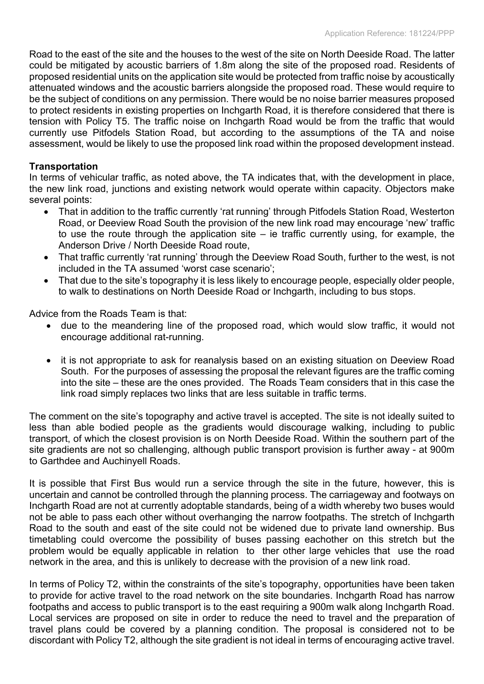Road to the east of the site and the houses to the west of the site on North Deeside Road. The latter could be mitigated by acoustic barriers of 1.8m along the site of the proposed road. Residents of proposed residential units on the application site would be protected from traffic noise by acoustically attenuated windows and the acoustic barriers alongside the proposed road. These would require to be the subject of conditions on any permission. There would be no noise barrier measures proposed to protect residents in existing properties on Inchgarth Road, it is therefore considered that there is tension with Policy T5. The traffic noise on Inchgarth Road would be from the traffic that would currently use Pitfodels Station Road, but according to the assumptions of the TA and noise assessment, would be likely to use the proposed link road within the proposed development instead.

### **Transportation**

In terms of vehicular traffic, as noted above, the TA indicates that, with the development in place, the new link road, junctions and existing network would operate within capacity. Objectors make several points:

- That in addition to the traffic currently 'rat running' through Pitfodels Station Road, Westerton Road, or Deeview Road South the provision of the new link road may encourage 'new' traffic to use the route through the application site – ie traffic currently using, for example, the Anderson Drive / North Deeside Road route,
- That traffic currently 'rat running' through the Deeview Road South, further to the west, is not included in the TA assumed 'worst case scenario';
- That due to the site's topography it is less likely to encourage people, especially older people, to walk to destinations on North Deeside Road or Inchgarth, including to bus stops.

Advice from the Roads Team is that:

- due to the meandering line of the proposed road, which would slow traffic, it would not encourage additional rat-running.
- it is not appropriate to ask for reanalysis based on an existing situation on Deeview Road South. For the purposes of assessing the proposal the relevant figures are the traffic coming into the site – these are the ones provided. The Roads Team considers that in this case the link road simply replaces two links that are less suitable in traffic terms.

The comment on the site's topography and active travel is accepted. The site is not ideally suited to less than able bodied people as the gradients would discourage walking, including to public transport, of which the closest provision is on North Deeside Road. Within the southern part of the site gradients are not so challenging, although public transport provision is further away - at 900m to Garthdee and Auchinyell Roads.

It is possible that First Bus would run a service through the site in the future, however, this is uncertain and cannot be controlled through the planning process. The carriageway and footways on Inchgarth Road are not at currently adoptable standards, being of a width whereby two buses would not be able to pass each other without overhanging the narrow footpaths. The stretch of Inchgarth Road to the south and east of the site could not be widened due to private land ownership. Bus timetabling could overcome the possibility of buses passing eachother on this stretch but the problem would be equally applicable in relation to ther other large vehicles that use the road network in the area, and this is unlikely to decrease with the provision of a new link road.

In terms of Policy T2, within the constraints of the site's topography, opportunities have been taken to provide for active travel to the road network on the site boundaries. Inchgarth Road has narrow footpaths and access to public transport is to the east requiring a 900m walk along Inchgarth Road. Local services are proposed on site in order to reduce the need to travel and the preparation of travel plans could be covered by a planning condition. The proposal is considered not to be discordant with Policy T2, although the site gradient is not ideal in terms of encouraging active travel.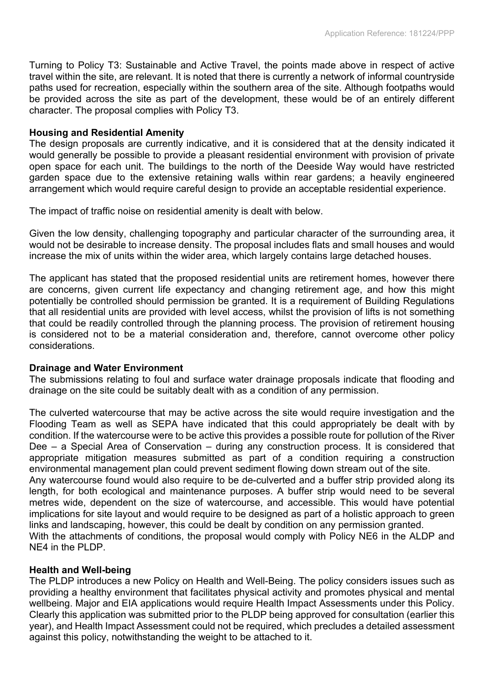Turning to Policy T3: Sustainable and Active Travel, the points made above in respect of active travel within the site, are relevant. It is noted that there is currently a network of informal countryside paths used for recreation, especially within the southern area of the site. Although footpaths would be provided across the site as part of the development, these would be of an entirely different character. The proposal complies with Policy T3.

#### **Housing and Residential Amenity**

The design proposals are currently indicative, and it is considered that at the density indicated it would generally be possible to provide a pleasant residential environment with provision of private open space for each unit. The buildings to the north of the Deeside Way would have restricted garden space due to the extensive retaining walls within rear gardens; a heavily engineered arrangement which would require careful design to provide an acceptable residential experience.

The impact of traffic noise on residential amenity is dealt with below.

Given the low density, challenging topography and particular character of the surrounding area, it would not be desirable to increase density. The proposal includes flats and small houses and would increase the mix of units within the wider area, which largely contains large detached houses.

The applicant has stated that the proposed residential units are retirement homes, however there are concerns, given current life expectancy and changing retirement age, and how this might potentially be controlled should permission be granted. It is a requirement of Building Regulations that all residential units are provided with level access, whilst the provision of lifts is not something that could be readily controlled through the planning process. The provision of retirement housing is considered not to be a material consideration and, therefore, cannot overcome other policy considerations.

#### **Drainage and Water Environment**

The submissions relating to foul and surface water drainage proposals indicate that flooding and drainage on the site could be suitably dealt with as a condition of any permission.

The culverted watercourse that may be active across the site would require investigation and the Flooding Team as well as SEPA have indicated that this could appropriately be dealt with by condition. If the watercourse were to be active this provides a possible route for pollution of the River Dee – a Special Area of Conservation – during any construction process. It is considered that appropriate mitigation measures submitted as part of a condition requiring a construction environmental management plan could prevent sediment flowing down stream out of the site. Any watercourse found would also require to be de-culverted and a buffer strip provided along its

length, for both ecological and maintenance purposes. A buffer strip would need to be several metres wide, dependent on the size of watercourse, and accessible. This would have potential implications for site layout and would require to be designed as part of a holistic approach to green links and landscaping, however, this could be dealt by condition on any permission granted. With the attachments of conditions, the proposal would comply with Policy NE6 in the ALDP and

NE4 in the PLDP.

#### **Health and Well-being**

The PLDP introduces a new Policy on Health and Well-Being. The policy considers issues such as providing a healthy environment that facilitates physical activity and promotes physical and mental wellbeing. Major and EIA applications would require Health Impact Assessments under this Policy. Clearly this application was submitted prior to the PLDP being approved for consultation (earlier this year), and Health Impact Assessment could not be required, which precludes a detailed assessment against this policy, notwithstanding the weight to be attached to it.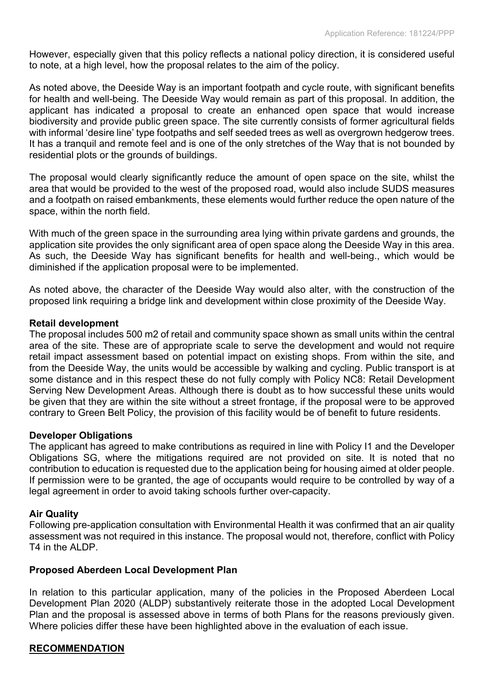However, especially given that this policy reflects a national policy direction, it is considered useful to note, at a high level, how the proposal relates to the aim of the policy.

As noted above, the Deeside Way is an important footpath and cycle route, with significant benefits for health and well-being. The Deeside Way would remain as part of this proposal. In addition, the applicant has indicated a proposal to create an enhanced open space that would increase biodiversity and provide public green space. The site currently consists of former agricultural fields with informal 'desire line' type footpaths and self seeded trees as well as overgrown hedgerow trees. It has a tranquil and remote feel and is one of the only stretches of the Way that is not bounded by residential plots or the grounds of buildings.

The proposal would clearly significantly reduce the amount of open space on the site, whilst the area that would be provided to the west of the proposed road, would also include SUDS measures and a footpath on raised embankments, these elements would further reduce the open nature of the space, within the north field.

With much of the green space in the surrounding area lying within private gardens and grounds, the application site provides the only significant area of open space along the Deeside Way in this area. As such, the Deeside Way has significant benefits for health and well-being., which would be diminished if the application proposal were to be implemented.

As noted above, the character of the Deeside Way would also alter, with the construction of the proposed link requiring a bridge link and development within close proximity of the Deeside Way.

#### **Retail development**

The proposal includes 500 m2 of retail and community space shown as small units within the central area of the site. These are of appropriate scale to serve the development and would not require retail impact assessment based on potential impact on existing shops. From within the site, and from the Deeside Way, the units would be accessible by walking and cycling. Public transport is at some distance and in this respect these do not fully comply with Policy NC8: Retail Development Serving New Development Areas. Although there is doubt as to how successful these units would be given that they are within the site without a street frontage, if the proposal were to be approved contrary to Green Belt Policy, the provision of this facility would be of benefit to future residents.

### **Developer Obligations**

The applicant has agreed to make contributions as required in line with Policy I1 and the Developer Obligations SG, where the mitigations required are not provided on site. It is noted that no contribution to education is requested due to the application being for housing aimed at older people. If permission were to be granted, the age of occupants would require to be controlled by way of a legal agreement in order to avoid taking schools further over-capacity.

#### **Air Quality**

Following pre-application consultation with Environmental Health it was confirmed that an air quality assessment was not required in this instance. The proposal would not, therefore, conflict with Policy T4 in the ALDP.

#### **Proposed Aberdeen Local Development Plan**

In relation to this particular application, many of the policies in the Proposed Aberdeen Local Development Plan 2020 (ALDP) substantively reiterate those in the adopted Local Development Plan and the proposal is assessed above in terms of both Plans for the reasons previously given. Where policies differ these have been highlighted above in the evaluation of each issue.

### **RECOMMENDATION**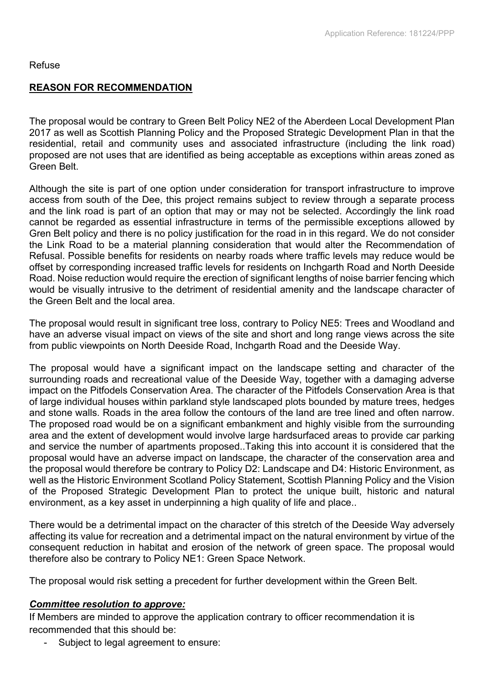### Refuse

### **REASON FOR RECOMMENDATION**

The proposal would be contrary to Green Belt Policy NE2 of the Aberdeen Local Development Plan 2017 as well as Scottish Planning Policy and the Proposed Strategic Development Plan in that the residential, retail and community uses and associated infrastructure (including the link road) proposed are not uses that are identified as being acceptable as exceptions within areas zoned as Green Belt.

Although the site is part of one option under consideration for transport infrastructure to improve access from south of the Dee, this project remains subject to review through a separate process and the link road is part of an option that may or may not be selected. Accordingly the link road cannot be regarded as essential infrastructure in terms of the permissible exceptions allowed by Gren Belt policy and there is no policy justification for the road in in this regard. We do not consider the Link Road to be a material planning consideration that would alter the Recommendation of Refusal. Possible benefits for residents on nearby roads where traffic levels may reduce would be offset by corresponding increased traffic levels for residents on Inchgarth Road and North Deeside Road. Noise reduction would require the erection of significant lengths of noise barrier fencing which would be visually intrusive to the detriment of residential amenity and the landscape character of the Green Belt and the local area.

The proposal would result in significant tree loss, contrary to Policy NE5: Trees and Woodland and have an adverse visual impact on views of the site and short and long range views across the site from public viewpoints on North Deeside Road, Inchgarth Road and the Deeside Way.

The proposal would have a significant impact on the landscape setting and character of the surrounding roads and recreational value of the Deeside Way, together with a damaging adverse impact on the Pitfodels Conservation Area. The character of the Pitfodels Conservation Area is that of large individual houses within parkland style landscaped plots bounded by mature trees, hedges and stone walls. Roads in the area follow the contours of the land are tree lined and often narrow. The proposed road would be on a significant embankment and highly visible from the surrounding area and the extent of development would involve large hardsurfaced areas to provide car parking and service the number of apartments proposed..Taking this into account it is considered that the proposal would have an adverse impact on landscape, the character of the conservation area and the proposal would therefore be contrary to Policy D2: Landscape and D4: Historic Environment, as well as the Historic Environment Scotland Policy Statement, Scottish Planning Policy and the Vision of the Proposed Strategic Development Plan to protect the unique built, historic and natural environment, as a key asset in underpinning a high quality of life and place..

There would be a detrimental impact on the character of this stretch of the Deeside Way adversely affecting its value for recreation and a detrimental impact on the natural environment by virtue of the consequent reduction in habitat and erosion of the network of green space. The proposal would therefore also be contrary to Policy NE1: Green Space Network.

The proposal would risk setting a precedent for further development within the Green Belt.

### *Committee resolution to approve:*

If Members are minded to approve the application contrary to officer recommendation it is recommended that this should be:

Subject to legal agreement to ensure: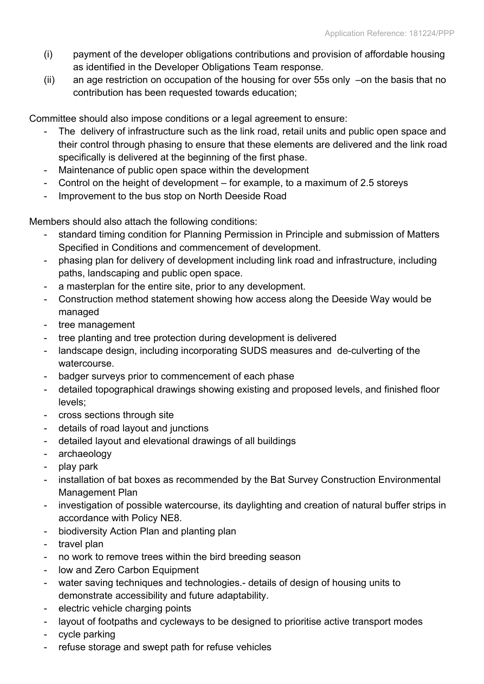- (i) payment of the developer obligations contributions and provision of affordable housing as identified in the Developer Obligations Team response.
- (ii) an age restriction on occupation of the housing for over 55s only –on the basis that no contribution has been requested towards education;

Committee should also impose conditions or a legal agreement to ensure:

- The delivery of infrastructure such as the link road, retail units and public open space and their control through phasing to ensure that these elements are delivered and the link road specifically is delivered at the beginning of the first phase.
- Maintenance of public open space within the development
- Control on the height of development for example, to a maximum of 2.5 storeys
- Improvement to the bus stop on North Deeside Road

Members should also attach the following conditions:

- standard timing condition for Planning Permission in Principle and submission of Matters Specified in Conditions and commencement of development.
- phasing plan for delivery of development including link road and infrastructure, including paths, landscaping and public open space.
- a masterplan for the entire site, prior to any development.
- Construction method statement showing how access along the Deeside Way would be managed
- tree management
- tree planting and tree protection during development is delivered
- landscape design, including incorporating SUDS measures and de-culverting of the watercourse.
- badger surveys prior to commencement of each phase
- detailed topographical drawings showing existing and proposed levels, and finished floor levels;
- cross sections through site
- details of road layout and junctions
- detailed layout and elevational drawings of all buildings
- archaeology
- play park
- installation of bat boxes as recommended by the Bat Survey Construction Environmental Management Plan
- investigation of possible watercourse, its daylighting and creation of natural buffer strips in accordance with Policy NE8.
- biodiversity Action Plan and planting plan
- travel plan
- no work to remove trees within the bird breeding season
- low and Zero Carbon Equipment
- water saving techniques and technologies.- details of design of housing units to demonstrate accessibility and future adaptability.
- electric vehicle charging points
- layout of footpaths and cycleways to be designed to prioritise active transport modes
- cycle parking
- refuse storage and swept path for refuse vehicles